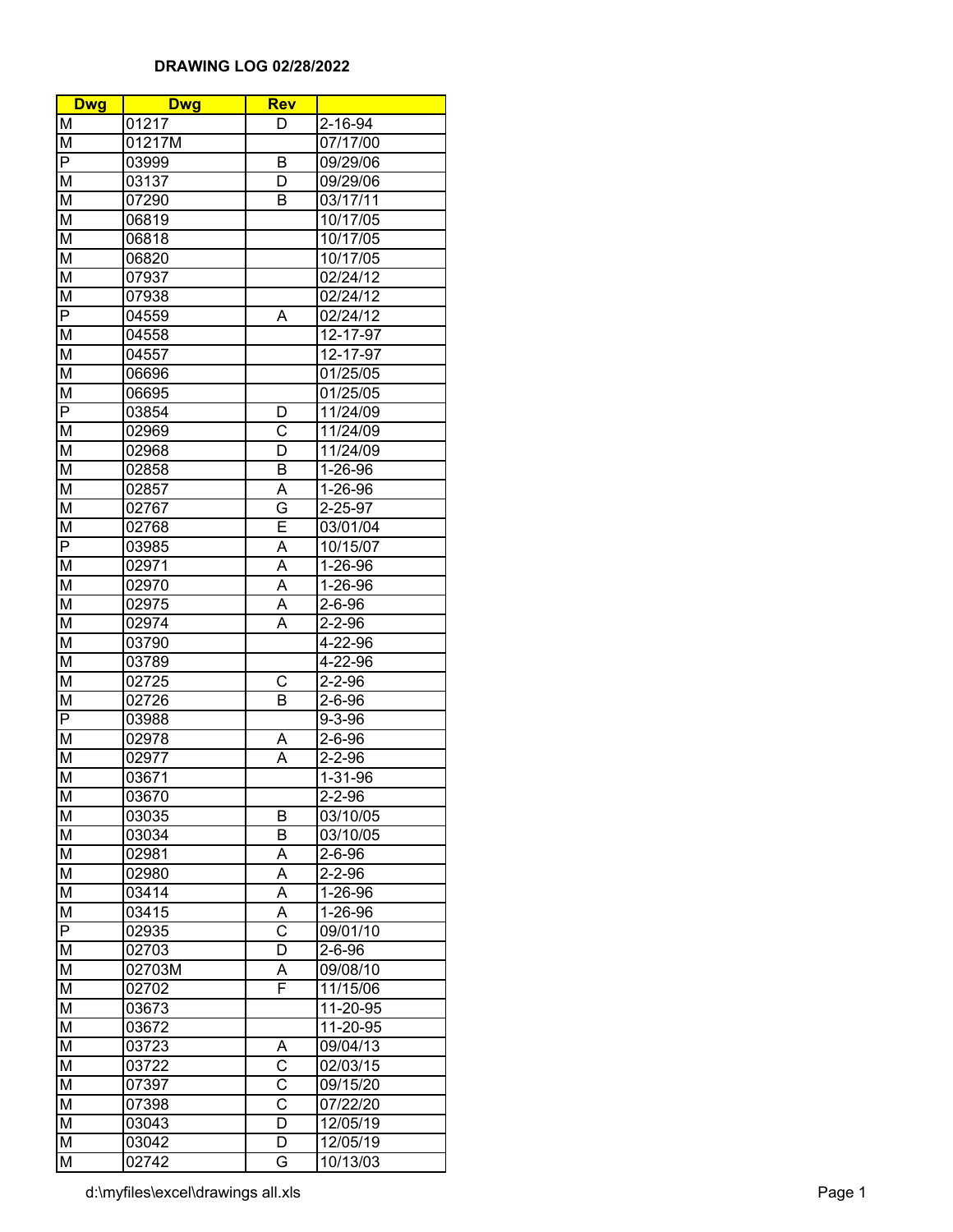| <b>Dwg</b>              | <b>Dwg</b> | <b>Rev</b>              |                       |
|-------------------------|------------|-------------------------|-----------------------|
| М                       | 01217      | D                       | $2 - 16 - 94$         |
| M                       | 01217M     |                         | 07/17/00              |
| $\overline{\mathsf{P}}$ | 03999      | B                       | 09/29/06              |
| M                       | 03137      | $\overline{\mathsf{D}}$ | 09/29/06              |
| Μ                       | 07290      | B                       | 03/17/11              |
| M                       | 06819      |                         | 10/17/05              |
| Μ                       | 06818      |                         | 10/17/05              |
| M                       | 06820      |                         | 10/17/05              |
| M                       | 07937      |                         | 02/24/12              |
| M                       | 07938      |                         | 02/24/12              |
| $\overline{\mathsf{P}}$ | 04559      | A                       | 02/24/12              |
| M                       |            |                         |                       |
|                         | 04558      |                         | 12-17-97              |
| M                       | 04557      |                         | 12-17-97              |
| M                       | 06696      |                         | 01/25/05              |
| M                       | 06695      |                         | 01/25/05              |
| $\overline{P}$          | 03854      | D                       | 11/24/09              |
| M                       | 02969      | $\overline{\text{c}}$   | 11/24/09              |
| $\overline{\mathsf{M}}$ | 02968      | D                       | 11/24/09              |
| M                       | 02858      | B                       | 1-26-96               |
| M                       | 02857      | Α                       | 1-26-96               |
| M                       | 02767      | G                       | 2-25-97               |
| M                       | 02768      | Ē                       | 03/01/04              |
| $\overline{\mathsf{P}}$ | 03985      | A                       | 10/15/07              |
| M                       | 02971      | A                       | 1-26-96               |
| M                       | 02970      | A                       | 1-26-96               |
| $\overline{\mathsf{M}}$ | 02975      | A                       | $2 - 6 - 96$          |
| M                       | 02974      | $\overline{\mathsf{A}}$ | $2 - 2 - 96$          |
| $\overline{\mathsf{M}}$ | 03790      |                         | 4-22-96               |
| $\overline{\mathsf{M}}$ | 03789      |                         | 4-22-96               |
| M                       | 02725      | C                       | $2 - 2 - 96$          |
| M                       | 02726      | B                       | $2 - 6 - 96$          |
| $\overline{\mathsf{P}}$ | 03988      |                         | $9 - 3 - 96$          |
| M                       | 02978      | Α                       | $2 - 6 - 96$          |
| M                       | 02977      | $\overline{\mathsf{A}}$ | $2 - 2 - 96$          |
| M                       | 03671      |                         | 1-31-96               |
| M                       | 03670      |                         | $2 - 2 - 96$          |
| М                       | 03035      | В                       | 03/10/05              |
| Μ                       | 03034      | В                       | 03/10/05              |
| Μ                       | 02981      | Α                       | $2 - 6 - 96$          |
| Μ                       | 02980      | A                       | $2 - 2 - 96$          |
| M                       | 03414      | A                       | 1-26-96               |
| M                       | 03415      | A                       | 1-26-96               |
| $\overline{\mathsf{P}}$ |            |                         |                       |
|                         | 02935      | C                       | 09/01/10              |
| M                       | 02703      | D                       | $2 - 6 - 96$          |
| $\overline{\mathsf{M}}$ | 02703M     | А                       | 09/08/10              |
| M                       | 02702      | F                       | 11/15/06              |
| M                       | 03673      |                         | 11-20-95              |
| M                       | 03672      |                         | 11-20-95              |
| M                       | 03723      | Α                       | 09/04/13              |
| M                       | 03722      | $\overline{\text{c}}$   | $02/03/\overline{15}$ |
| $\overline{\mathsf{M}}$ | 07397      | $\overline{\text{c}}$   | 09/15/20              |
| Μ                       | 07398      | $\overline{\text{c}}$   | 07/22/20              |
| $\overline{\mathsf{M}}$ | 03043      | $\overline{\mathsf{D}}$ | 12/05/19              |
| $\overline{\mathsf{M}}$ | 03042      | $\overline{\mathsf{D}}$ | 12/05/19              |
| $\overline{\mathsf{M}}$ | 02742      | G                       | 10/13/03              |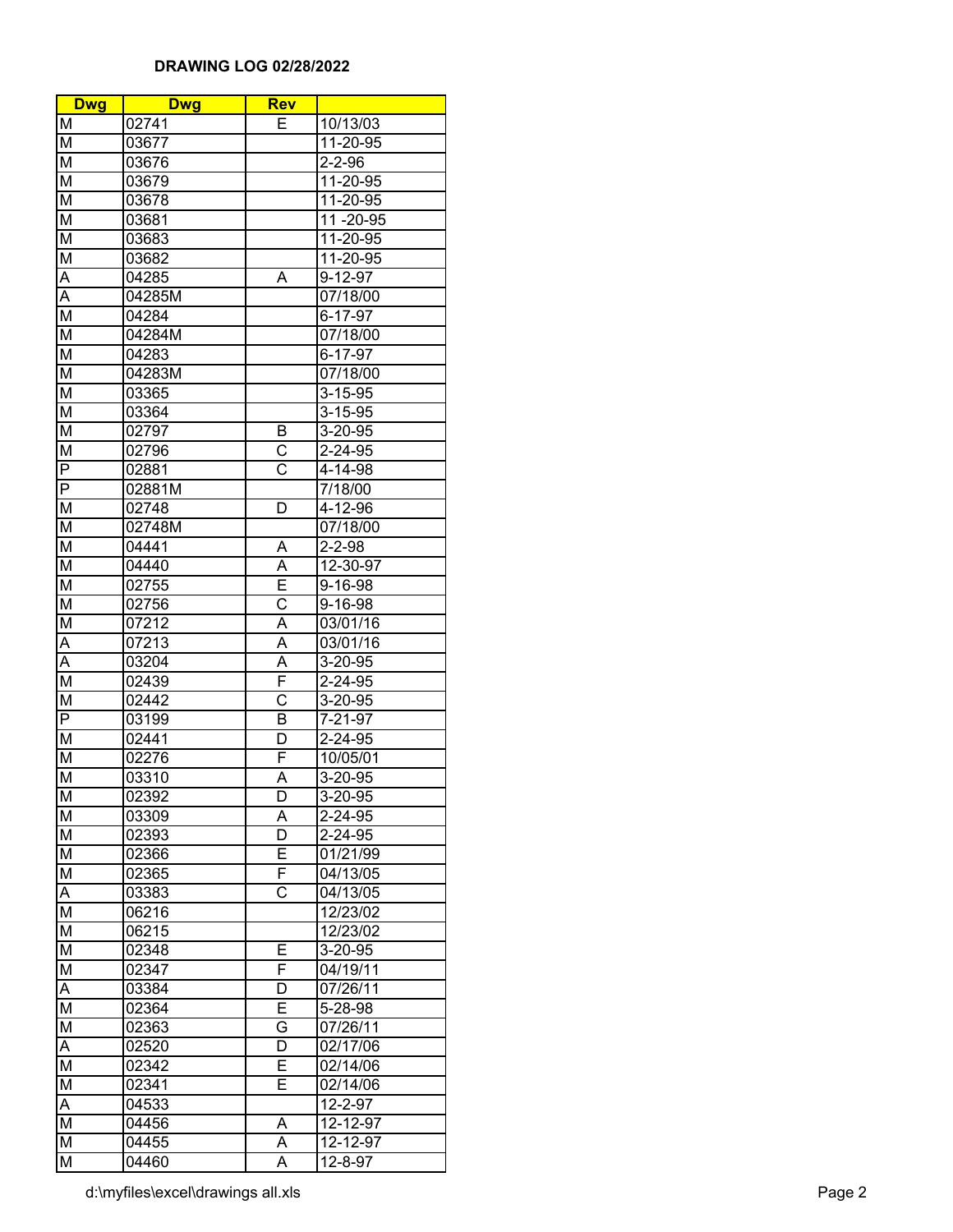| <b>Dwg</b>              | <b>Dwg</b>         | <b>Rev</b>              |               |
|-------------------------|--------------------|-------------------------|---------------|
| M                       | 02741              | E                       | 10/13/03      |
| $\overline{\mathsf{M}}$ | 03677              |                         | 11-20-95      |
| M                       | 03676              |                         | $2 - 2 - 96$  |
| $\overline{\mathsf{M}}$ | 03679              |                         | 11-20-95      |
| M                       | 03678              |                         | 11-20-95      |
| M                       | 03681              |                         | 11-20-95      |
| M                       | 03683              |                         | 11-20-95      |
| M                       | 03682              |                         | 11-20-95      |
| A                       | 04285              | Α                       | $9 - 12 - 97$ |
| $\overline{\mathsf{A}}$ | 04285M             |                         | 07/18/00      |
| $\overline{\mathsf{M}}$ | 04284              |                         | 6-17-97       |
| $\overline{\mathsf{M}}$ | 04284M             |                         | 07/18/00      |
| $\overline{\mathsf{M}}$ |                    |                         |               |
|                         | 04283              |                         | 6-17-97       |
| M                       | 04283M             |                         | 07/18/00      |
| M                       | 03365              |                         | $3 - 15 - 95$ |
| M                       | 03364              |                         | $3 - 15 - 95$ |
| M                       | 02797              | В                       | 3-20-95       |
| $\overline{\mathsf{M}}$ | 02796              | $\overline{\text{c}}$   | 2-24-95       |
| $\overline{\mathsf{P}}$ | 02881              | $\overline{\text{c}}$   | 4-14-98       |
| $\overline{P}$          | 02881M             |                         | 7/18/00       |
| M                       | 02748              | D                       | 4-12-96       |
| M                       | 02748M             |                         | 07/18/00      |
| M                       | 04441              | Α                       | $2 - 2 - 98$  |
| M                       | 04440              | A                       | 12-30-97      |
| M                       | 02755              | Ē                       | 9-16-98       |
| M                       | 02756              | $\overline{\text{c}}$   | 9-16-98       |
| $\overline{\mathsf{M}}$ | $\overline{07212}$ | Ā                       | 03/01/16      |
| Ā                       | 07213              | $\overline{\mathsf{A}}$ | 03/01/16      |
| Ā                       | 03204              | Ā                       | 3-20-95       |
| $\overline{\mathsf{M}}$ | 02439              | F                       | 2-24-95       |
| $\overline{\mathsf{M}}$ | 02442              | $\overline{\text{c}}$   | 3-20-95       |
| $\overline{\mathsf{P}}$ | 03199              | B                       | $7 - 21 - 97$ |
| M                       | 02441              | D                       | 2-24-95       |
| M                       | 02276              | F                       | 10/05/01      |
| $\overline{\mathsf{M}}$ | 03310              | $\overline{\mathsf{A}}$ | 3-20-95       |
| M                       | 02392              | $\overline{D}$          | $3 - 20 - 95$ |
| Μ                       | 03309              | Α                       | 2-24-95       |
| М                       | 02393              | D                       | 2-24-95       |
| Μ                       |                    | E                       |               |
| M                       | 02366              | F                       | 01/21/99      |
|                         | 02365              | C                       | 04/13/05      |
| Α                       | 03383              |                         | 04/13/05      |
| M                       | 06216              |                         | 12/23/02      |
| M                       | 06215              |                         | 12/23/02      |
| Μ                       | 02348              | Е                       | 3-20-95       |
| M                       | 02347              | F                       | 04/19/11      |
| Α                       | 03384              | D                       | 07/26/11      |
| M                       | 02364              | E                       | 5-28-98       |
| M                       | 02363              | G                       | 07/26/11      |
| Α                       | 02520              | D                       | 02/17/06      |
| M                       | 02342              | Ε                       | 02/14/06      |
| M                       | 02341              | Ē                       | 02/14/06      |
| A                       | 04533              |                         | 12-2-97       |
| $\overline{\mathsf{M}}$ | 04456              | A                       | 12-12-97      |
| $\overline{\mathsf{M}}$ | 04455              | A                       | 12-12-97      |
| $\overline{\mathsf{M}}$ | 04460              | A                       | 12-8-97       |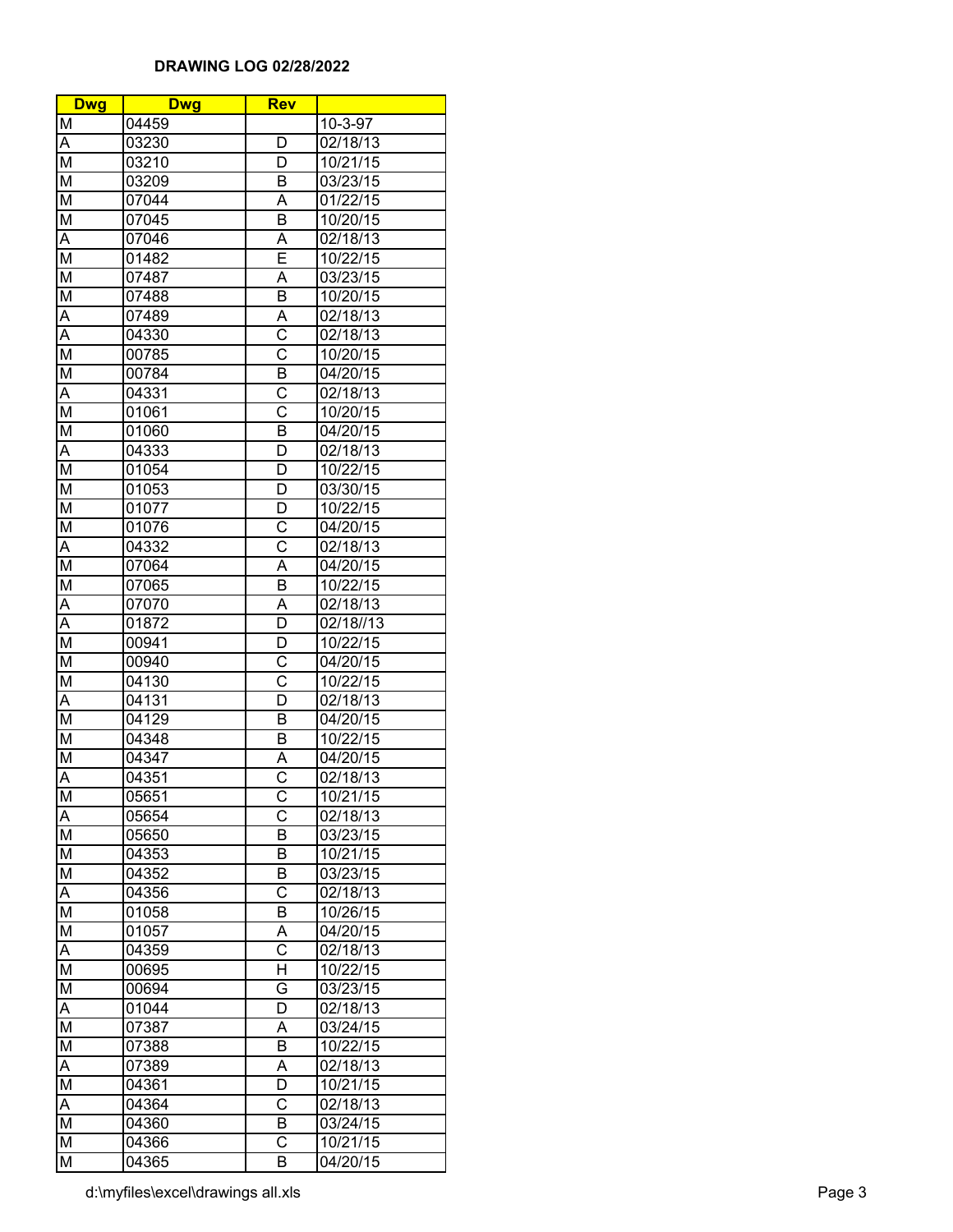| <b>Dwg</b>              | <b>Dwg</b>         | <b>Rev</b>                              |                      |
|-------------------------|--------------------|-----------------------------------------|----------------------|
| Μ                       | 04459              |                                         | 10-3-97              |
| Α                       | 03230              | D                                       | 02/18/13             |
| $\overline{\mathsf{M}}$ | 03210              | D                                       | 10/21/15             |
| $\overline{\mathsf{M}}$ | 03209              | B                                       | 03/23/15             |
| M                       | 07044              | А                                       | 01/22/15             |
| M                       | 07045              | B                                       | 10/20/15             |
| A                       | 07046              | Α                                       | 02/18/13             |
| M                       | 01482              | E                                       | 10/22/15             |
| M                       | 07487              | Α                                       | 03/23/15             |
| M                       | 07488              | B                                       | 10/20/15             |
| A                       | 07489              | Α                                       | 02/18/13             |
| Ā                       | 04330              | $\overline{\text{c}}$                   | 02/18/13             |
| $\overline{\mathsf{M}}$ | 00785              | $\overline{\text{c}}$                   | 10/20/15             |
| $\overline{\mathsf{M}}$ | 00784              | B                                       | 04/20/15             |
| Α                       | 04331              | $\overline{\text{C}}$                   | 02/18/13             |
| M                       | 01061              | $\overline{\text{c}}$                   | 10/20/15             |
| M                       | 01060              | B                                       | 04/20/15             |
| $\overline{A}$          | 04333              | D                                       | 02/18/13             |
| M                       | 01054              | D                                       | 10/22/15             |
| M                       | 01053              | D                                       | 03/30/15             |
| M                       | 01077              | D                                       | 10/22/15             |
| M                       | 01076              | $\overline{\text{C}}$                   | 04/20/15             |
| A                       | 04332              | $\overline{\text{c}}$                   | 02/18/13             |
| M                       | 07064              | A                                       | 04/20/15             |
| M                       | 07065              | $\overline{\mathsf{B}}$                 | 10/22/15             |
| Ā                       | 07070              | Α                                       | 02/18/13             |
| Ā                       | 01872              | D                                       | 02/18//13            |
| $\overline{\mathsf{M}}$ | $\overline{0094}1$ | D                                       | 10/22/15             |
| M                       | 00940              | $\overline{\text{c}}$                   | 04/20/15             |
| $\overline{\mathsf{M}}$ | 04130              | $\overline{\text{c}}$                   | 10/22/15             |
| A                       | 04131              | $\overline{\mathsf{D}}$                 | 02/18/13             |
| M                       | 04129              | B                                       | 04/20/15             |
| M                       | 04348              | B                                       | 10/22/15             |
| M                       | 04347              | Α                                       | 04/20/15             |
| Ā                       | 04351              | $\overline{\text{c}}$                   | 02/18/13             |
| $\overline{\mathsf{M}}$ | 05651              |                                         | 10/21/15             |
| Α                       | 05654              | $\overline{C}$<br>$\overline{\text{c}}$ | 02/18/13             |
| M                       |                    | В                                       |                      |
|                         | 05650              | В                                       | 03/23/15<br>10/21/15 |
| Μ                       | 04353              |                                         |                      |
| M                       | 04352              | В                                       | 03/23/15             |
| Α                       | 04356              | С                                       | 02/18/13             |
| M                       | 01058              | B                                       | 10/26/15             |
| M                       | 01057              | Α                                       | 04/20/15             |
| Α                       | 04359              | C                                       | 02/18/13             |
| M                       | 00695              | $\overline{\mathsf{H}}$                 | 10/22/15             |
| $\overline{\mathsf{M}}$ | 00694              | G                                       | 03/23/15             |
| Α                       | 01044              | D                                       | 02/18/13             |
| M                       | 07387              | Α                                       | 03/24/15             |
| M                       | 07388              | B                                       | 10/22/15             |
| Α                       | 07389              | Α                                       | 02/18/13             |
| $\overline{\mathsf{M}}$ | 04361              | $\overline{\mathsf{D}}$                 | 10/21/15             |
| Ā                       | 04364              | $\overline{\text{c}}$                   | 02/18/13             |
| $\overline{\mathsf{M}}$ | 04360              | B                                       | 03/24/15             |
| $\overline{\mathsf{M}}$ | 04366              | $\overline{\text{c}}$                   | 10/21/15             |
| $\overline{\mathsf{M}}$ | 04365              | В                                       | 04/20/15             |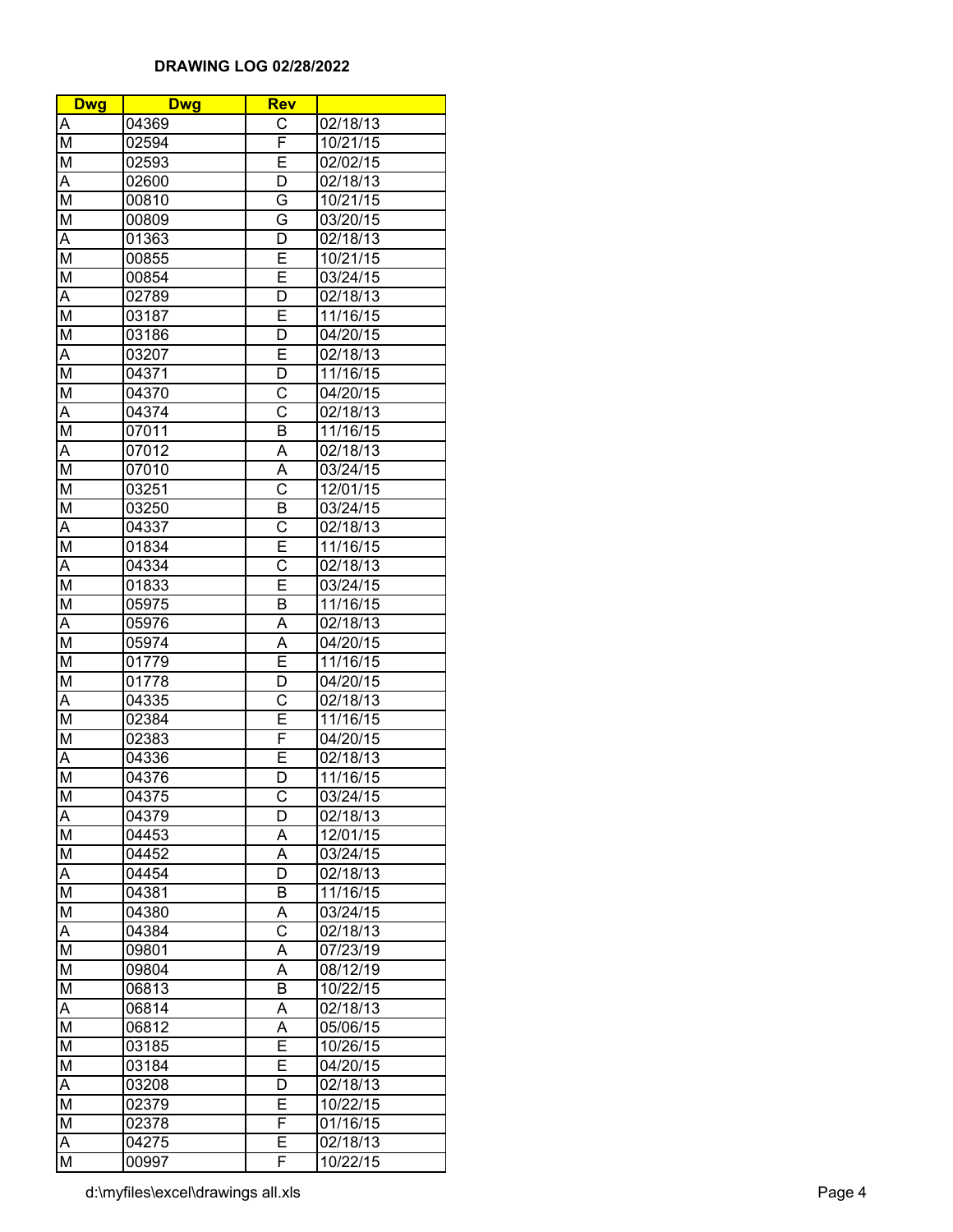| <b>Dwg</b>                                | <b>Dwg</b>     | <b>Rev</b>              |                       |
|-------------------------------------------|----------------|-------------------------|-----------------------|
| Α                                         | 04369          | С                       | $\overline{02/18/13}$ |
| M                                         | 02594          | F                       | 10/21/15              |
| $\overline{\mathsf{M}}$                   | 02593          | Ē                       | 02/02/15              |
| Α                                         | 02600          | $\overline{\mathsf{D}}$ | 02/18/13              |
| M                                         | 00810          | G                       | 10/21/15              |
| M                                         | 00809          | G                       | 03/20/15              |
| Α                                         | 01363          | D                       | 02/18/13              |
| M                                         | 00855          | Е                       | 10/21/15              |
| M                                         | 00854          | E                       | 03/24/15              |
| A                                         | 02789          | D                       | 02/18/13              |
| M                                         | 03187          | E                       | 11/16/15              |
| $\overline{\mathsf{M}}$                   | 03186          | D                       | 04/20/15              |
| A                                         | 03207          | Ē                       | 02/18/13              |
| M                                         | 04371          | D                       | 11/16/15              |
| M                                         | 04370          | $\overline{\text{c}}$   | 04/20/15              |
| Α                                         | 04374          | $\overline{\text{c}}$   | 02/18/13              |
| $\overline{\mathsf{M}}$                   | 07011          | $\overline{\mathsf{B}}$ | 11/16/15              |
|                                           |                | A                       | 02/18/13              |
| $\overline{A}$<br>$\overline{\mathsf{M}}$ | 07012<br>07010 |                         |                       |
|                                           |                | A                       | 03/24/15              |
| $\overline{\mathsf{M}}$                   | 03251          | $\overline{\text{c}}$   | 12/01/15              |
| $\overline{\mathsf{M}}$                   | 03250          | B                       | 03/24/15              |
| A                                         | 04337          | С                       | 02/18/13              |
| $\overline{\mathsf{M}}$                   | 01834          | Ē                       | 11/16/15              |
| Α                                         | 04334          | С                       | 02/18/13              |
| M                                         | 01833          | E                       | 03/24/15              |
| $\overline{\mathsf{M}}$                   | 05975          | $\overline{\mathsf{B}}$ | 11/16/15              |
| Α                                         | 05976          | Ā                       | 02/18/13              |
| M                                         | 05974          | Ā                       | 04/20/15              |
| M                                         | 01779          | Ē                       | 11/16/15              |
| M                                         | 01778          | D                       | 04/20/15              |
| Α                                         | 04335          | $\overline{\text{C}}$   | 02/18/13              |
| M                                         | 02384          | Ē                       | 11/16/15              |
| M                                         | 02383          | F                       | 04/20/15              |
| $\overline{\mathsf{A}}$                   | 04336          | Ē                       | 02/18/13              |
| M                                         | 04376          | D                       | $\overline{11}/16/15$ |
| $\overline{\mathsf{M}}$                   | 04375          | C                       | 03/24/15              |
| A                                         | 04379          | D                       | 02/18/13              |
| $\overline{\mathsf{M}}$                   | 04453          | Α                       | 12/01/15              |
| Μ                                         | 04452          | A                       | 03/24/15              |
| Α                                         | 04454          | D                       | 02/18/13              |
| M                                         | 04381          | B                       | 11/16/15              |
| M                                         | 04380          | Α                       | 03/24/15              |
| Α                                         | 04384          | C                       | 02/18/13              |
| M                                         | 09801          | A                       | 07/23/19              |
| $\overline{\mathsf{M}}$                   | 09804          | Α                       | 08/12/19              |
| $\overline{\mathsf{M}}$                   | 06813          | B                       | 10/22/15              |
| Α                                         | 06814          | Α                       | 02/18/13              |
| М                                         | 06812          | A                       | 05/06/15              |
| M                                         | 03185          | Ē                       | 10/26/15              |
| M                                         | 03184          | E                       | 04/20/15              |
| Ā                                         | 03208          | D                       | 02/18/13              |
| $\overline{\mathsf{M}}$                   | 02379          | Ε                       | 10/22/15              |
| M                                         | 02378          | F                       | 01/16/15              |
| $\overline{A}$                            | 04275          | Ē                       | 02/18/13              |
| M                                         | 00997          | F                       | 10/22/15              |
|                                           |                |                         |                       |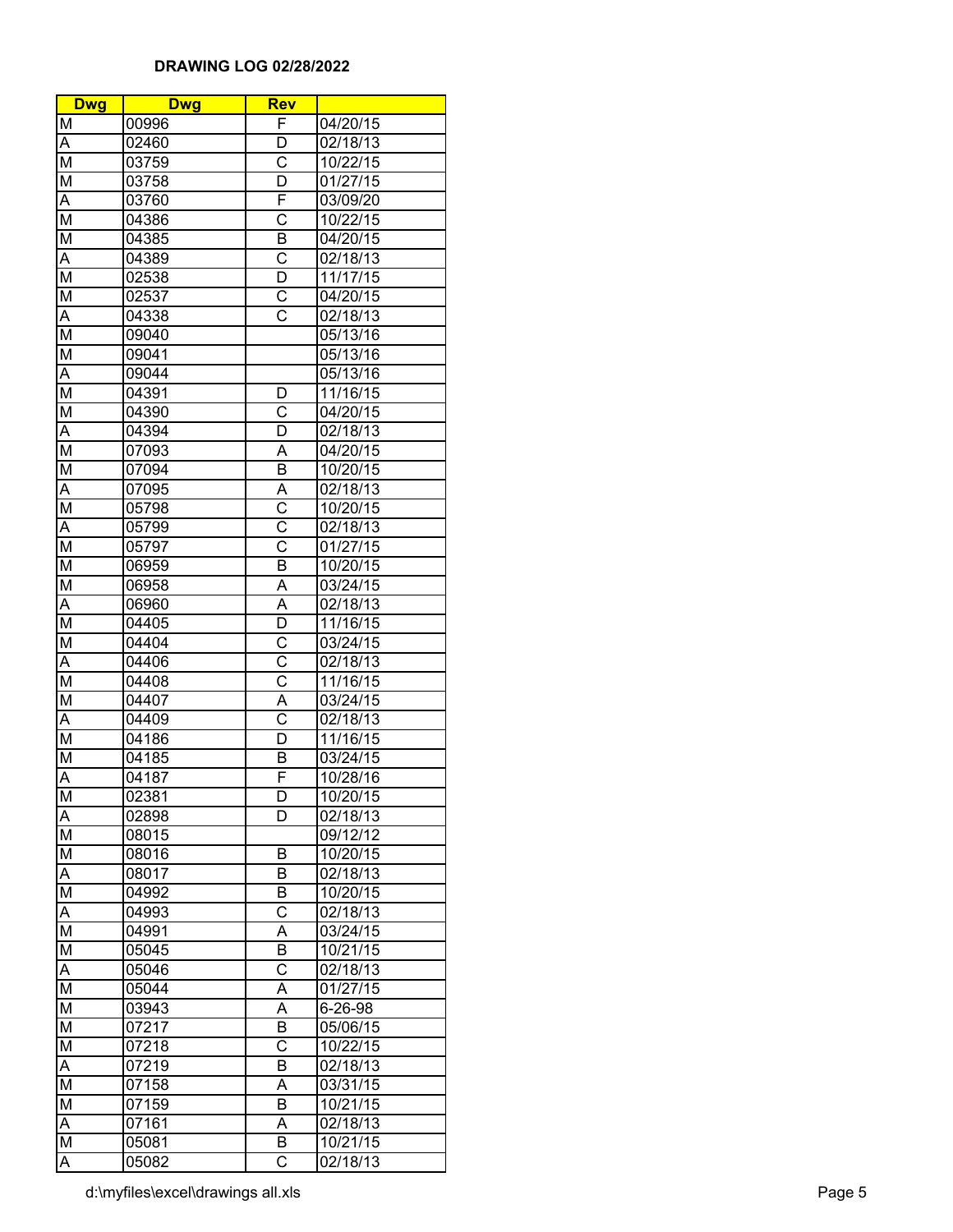| <b>Dwg</b>              | <b>Dwg</b> | <b>Rev</b>              |               |
|-------------------------|------------|-------------------------|---------------|
| M                       | 00996      | F                       | 04/20/15      |
| Α                       | 02460      | D                       | 02/18/13      |
| M                       | 03759      | C                       | 10/22/15      |
| $\overline{\mathsf{M}}$ | 03758      | D                       | 01/27/15      |
| A                       | 03760      | F                       | 03/09/20      |
| $\overline{\mathsf{M}}$ | 04386      | $\overline{\text{C}}$   | 10/22/15      |
| M                       | 04385      | B                       | 04/20/15      |
| A                       | 04389      | С                       | 02/18/13      |
| M                       | 02538      | D                       | 11/17/15      |
| M                       | 02537      | C                       | 04/20/15      |
| A                       | 04338      | $\overline{\text{C}}$   | 02/18/13      |
| $\overline{\mathsf{M}}$ | 09040      |                         | 05/13/16      |
| $\overline{\mathsf{M}}$ | 09041      |                         | 05/13/16      |
|                         | 09044      |                         | 05/13/16      |
| Α                       |            |                         |               |
| M                       | 04391      | D                       | 11/16/15      |
| $\overline{\mathsf{M}}$ | 04390      | $\overline{\text{c}}$   | 04/20/15      |
| Α                       | 04394      | D                       | 02/18/13      |
| M                       | 07093      | Α                       | 04/20/15      |
| $\overline{\mathsf{M}}$ | 07094      | $\overline{\mathsf{B}}$ | 10/20/15      |
| $\overline{A}$          | 07095      | A                       | 02/18/13      |
| $\overline{\mathsf{M}}$ | 05798      | $\overline{\text{c}}$   | 10/20/15      |
| $\overline{A}$          | 05799      | $\overline{\text{c}}$   | 02/18/13      |
| M                       | 05797      | $\overline{\text{c}}$   | 01/27/15      |
| M                       | 06959      | B                       | 10/20/15      |
| M                       | 06958      | A                       | 03/24/15      |
| A                       | 06960      | $\overline{\mathsf{A}}$ | 02/18/13      |
| $\overline{\mathsf{M}}$ | 04405      | $\overline{\mathsf{D}}$ | 11/16/15      |
| $\overline{\mathsf{M}}$ | 04404      | C                       | 03/24/15      |
| Ā                       | 04406      | $\overline{\text{c}}$   | 02/18/13      |
| M                       | 04408      | $\overline{\text{c}}$   | 11/16/15      |
| $\overline{\mathsf{M}}$ | 04407      | A                       | 03/24/15      |
| A                       | 04409      | $\overline{\text{c}}$   | 02/18/13      |
| M                       | 04186      | $\overline{\mathsf{D}}$ | 11/16/15      |
| M                       | 04185      | B                       | 03/24/15      |
| A                       | 04187      | F                       | 10/28/16      |
| M                       | 02381      | D                       | 10/20/15      |
| A                       | 02898      | D                       | 02/18/13      |
| M                       | 08015      |                         | 09/12/12      |
| M                       | 08016      | В                       | 10/20/15      |
| Α                       | 08017      | В                       | 02/18/13      |
| $\overline{\mathsf{M}}$ | 04992      | В                       | 10/20/15      |
| Α                       | 04993      | С                       | 02/18/13      |
| M                       | 04991      | Α                       | 03/24/15      |
| M                       | 05045      | B                       | 10/21/15      |
| Α                       | 05046      | С                       | 02/18/13      |
| M                       | 05044      | A                       | 01/27/15      |
| $\overline{\mathsf{M}}$ | 03943      | Α                       | $6 - 26 - 98$ |
| M                       | 07217      | B                       | 05/06/15      |
| M                       | 07218      | $\overline{\text{c}}$   | 10/22/15      |
| Α                       | 07219      | $\overline{\mathsf{B}}$ | 02/18/13      |
| M                       | 07158      | A                       | 03/31/15      |
| $\overline{\mathsf{M}}$ | 07159      | $\overline{\mathsf{B}}$ | 10/21/15      |
|                         |            | Ā                       |               |
| Ā                       | 07161      |                         | 02/18/13      |
| $\overline{\mathsf{M}}$ | 05081      | В                       | 10/21/15      |
| A                       | 05082      | $\overline{\text{C}}$   | 02/18/13      |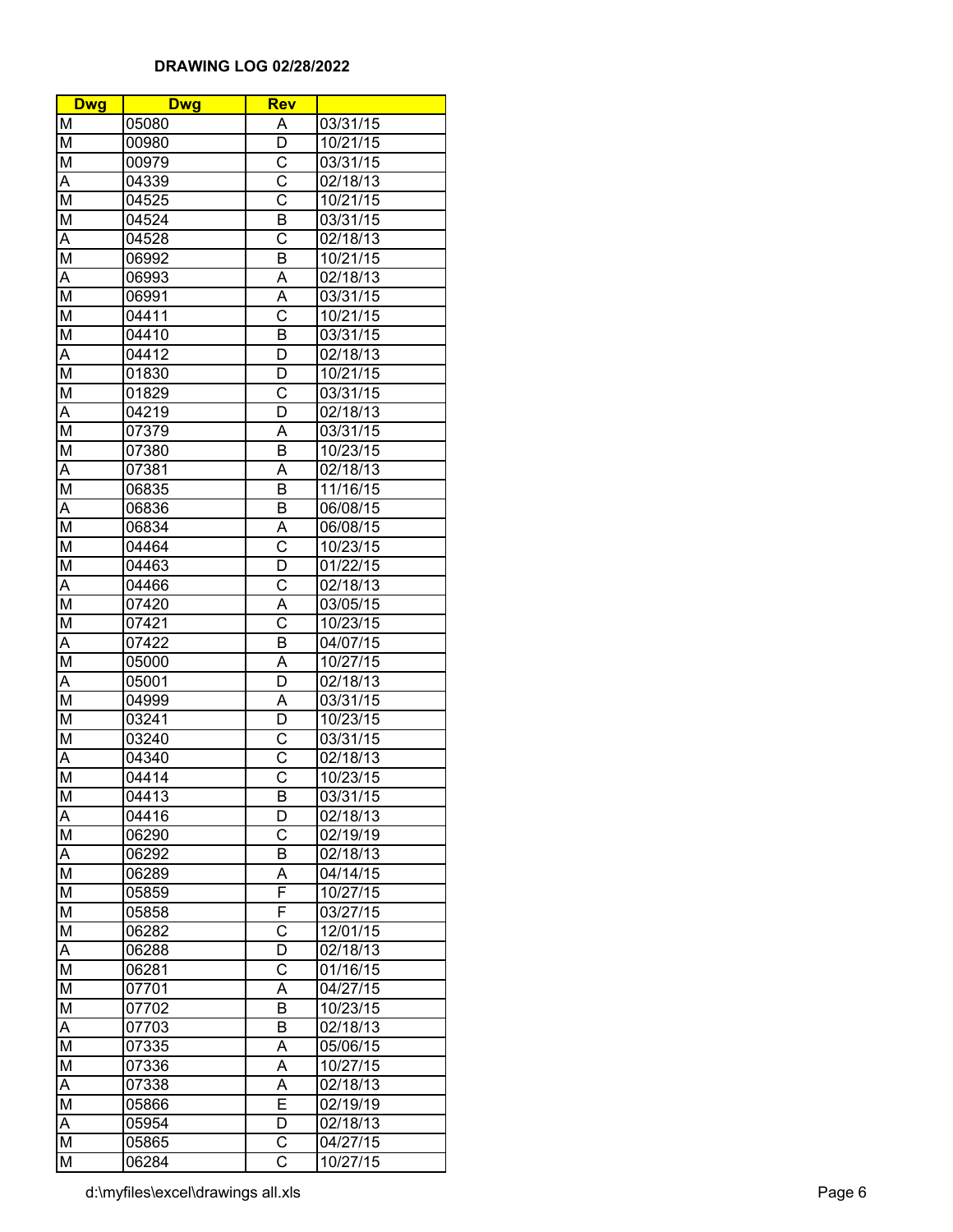| <b>Dwg</b>                   | <b>Dwg</b>     | <b>Rev</b>                 |                        |
|------------------------------|----------------|----------------------------|------------------------|
| М                            | 05080          | Α                          | 03/31/15               |
| M                            | 00980          | D                          | 10/21/15               |
| $\overline{\mathsf{M}}$      | 00979          | $\overline{\text{C}}$      | 03/31/15               |
| Α                            | 04339          | $\overline{\text{c}}$      | 02/18/13               |
| $\overline{\mathsf{M}}$      | 04525          | $\overline{\text{c}}$      | 10/21/15               |
| M                            | 04524          | В                          | 03/31/15               |
| A                            | 04528          | C                          | 02/18/13               |
| M                            | 06992          | B                          | 10/21/15               |
| Α                            | 06993          | Α                          | 02/18/13               |
| M                            | 06991          | A                          | 03/31/15               |
| M                            | 04411          | C                          | 10/21/15               |
| M                            | 04410          | B                          | 03/31/15               |
| Α                            | 04412          | D                          | $\overline{0}$ 2/18/13 |
| M                            | 01830          | D                          | 10/21/15               |
| $\overline{\mathsf{M}}$      | 01829          | $\overline{\text{c}}$      | 03/31/15               |
| Α                            | 04219          | D                          | 02/18/13               |
| M                            | 07379          | Α                          | 03/31/15               |
| $\overline{\mathsf{M}}$      | 07380          | $\overline{\mathsf{B}}$    | 10/23/15               |
|                              |                | A                          |                        |
| A<br>$\overline{\mathsf{M}}$ | 07381<br>06835 |                            | 02/18/13               |
|                              |                | B                          | 11/16/15               |
| $\overline{A}$               | 06836          | B                          | 06/08/15               |
| M                            | 06834          | Α<br>$\overline{\text{c}}$ | 06/08/15               |
| Μ                            | 04464          |                            | 10/23/15               |
| M                            | 04463          | D                          | 01/22/15               |
| Α                            | 04466          | C                          | 02/18/13               |
| $\overline{\mathsf{M}}$      | 07420          | A                          | 03/05/15               |
| $\overline{\mathsf{M}}$      | 07421          | $\overline{\text{c}}$      | 10/23/15               |
| Α                            | 07422          | $\overline{\mathsf{B}}$    | 04/07/15               |
| M                            | 05000          | Ā                          | 10/27/15               |
| Α                            | 05001          | D                          | 02/18/13               |
| M                            | 04999          | A                          | 03/31/15               |
| M                            | 03241          | D                          | 10/23/15               |
| M                            | 03240          | C                          | 03/31/15               |
| A                            | 04340          | $\overline{\text{c}}$      | 02/18/13               |
| M                            | 04414          | $\overline{\text{c}}$      | 10/23/15               |
| M                            | 04413          | B                          | 03/31/15               |
| Α                            | 04416          | D                          | 02/18/13               |
| $\overline{\mathsf{M}}$      | 06290          | С                          | 02/19/19               |
| Α                            | 06292          | B                          | 02/18/13               |
| M                            | 06289          | Α                          | 04/14/15               |
| Μ                            | 05859          | F                          | 10/27/15               |
| М                            | 05858          | F                          | 03/27/15               |
| M                            | 06282          | C                          | 12/01/15               |
| Α                            | 06288          | D                          | 02/18/13               |
| M                            | 06281          | $\overline{\text{c}}$      | 01/16/15               |
| M                            | 07701          | A                          | 04/27/15               |
| $\overline{\mathsf{M}}$      | 07702          | B                          | 10/23/15               |
| Α                            | 07703          | B                          | 02/18/13               |
| Μ                            | 07335          | A                          | 05/06/15               |
| M                            | 07336          | A                          | 10/27/15               |
| Ā                            | 07338          | Ā                          | 02/18/13               |
| M                            | 05866          | Ē                          | 02/19/19               |
| Α                            | 05954          | D                          | 02/18/13               |
| $\overline{\mathsf{M}}$      | 05865          | $\overline{\text{C}}$      | 04/27/15               |
| $\overline{\mathsf{M}}$      | 06284          | $\overline{\text{c}}$      | 10/27/15               |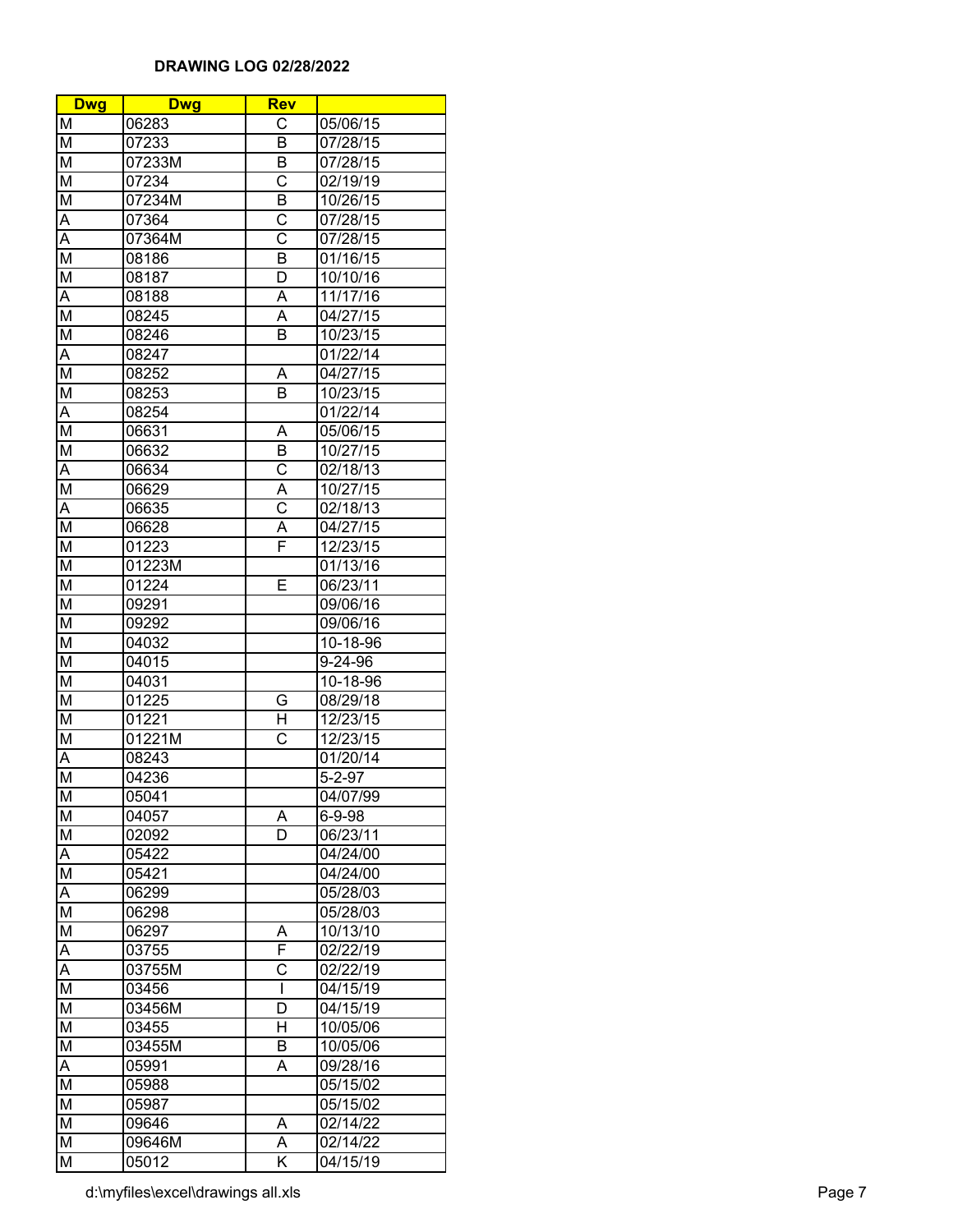| <b>Dwg</b>              | <b>Dwg</b> | <b>Rev</b>              |               |
|-------------------------|------------|-------------------------|---------------|
| Μ                       | 06283      | C                       | 05/06/15      |
| $\overline{\mathsf{M}}$ | 07233      | B                       | 07/28/15      |
| $\overline{\mathsf{M}}$ | 07233M     | B                       | 07/28/15      |
| Μ                       | 07234      | $\overline{\text{c}}$   | 02/19/19      |
| M                       | 07234M     | B                       | 10/26/15      |
| A                       | 07364      | С                       | 07/28/15      |
| A                       | 07364M     | C                       | 07/28/15      |
| M                       | 08186      | B                       | 01/16/15      |
| $\overline{\mathsf{M}}$ | 08187      | D                       | 10/10/16      |
| A                       | 08188      | A                       | 11/17/16      |
| $\overline{\mathsf{M}}$ | 08245      | A                       | 04/27/15      |
| $\overline{\mathsf{M}}$ | 08246      | B                       | 10/23/15      |
| Α                       | 08247      |                         | 01/22/14      |
| M                       | 08252      | A                       | 04/27/15      |
| M                       | 08253      | $\overline{\mathsf{B}}$ | 10/23/15      |
| Ā                       | 08254      |                         | 01/22/14      |
| M                       | 06631      | Α                       | 05/06/15      |
| $\overline{\mathsf{M}}$ | 06632      | B                       | 10/27/15      |
| $\overline{A}$          | 06634      | $\overline{\text{C}}$   | 02/18/13      |
| M                       | 06629      | A                       | 10/27/15      |
| A                       | 06635      | $\overline{\text{c}}$   | 02/18/13      |
| $\overline{\mathsf{M}}$ | 06628      | Α                       | 04/27/15      |
| M                       | 01223      | $\overline{\mathsf{F}}$ | 12/23/15      |
| M                       | 01223M     |                         | 01/13/16      |
| M                       | 01224      | E                       | 06/23/11      |
| $\overline{\mathsf{M}}$ | 09291      |                         | 09/06/16      |
| M                       | 09292      |                         | 09/06/16      |
| $\overline{\mathsf{M}}$ | 04032      |                         | 10-18-96      |
| $\overline{\mathsf{M}}$ | 04015      |                         | $9 - 24 - 96$ |
| $\overline{M}$          | 04031      |                         | 10-18-96      |
| M                       | 01225      | G                       | 08/29/18      |
| M                       | 01221      | H                       | 12/23/15      |
| $\overline{\mathsf{M}}$ | 01221M     | $\overline{\text{c}}$   | 12/23/15      |
| Ā                       | 08243      |                         | 01/20/14      |
| M                       | 04236      |                         | $5 - 2 - 97$  |
| M                       | 05041      |                         | 04/07/99      |
| Μ                       | 04057      | Α                       | 6-9-98        |
| M                       | 02092      | D                       | 06/23/11      |
| Α                       | 05422      |                         | 04/24/00      |
| M                       | 05421      |                         | 04/24/00      |
| A                       | 06299      |                         | 05/28/03      |
| $\overline{\mathsf{M}}$ | 06298      |                         | 05/28/03      |
| $\overline{\mathsf{M}}$ | 06297      | Α                       | 10/13/10      |
| $\overline{A}$          | 03755      | F                       | 02/22/19      |
| Ā                       | 03755M     | $\overline{\text{c}}$   | 02/22/19      |
| $\overline{\mathsf{M}}$ | 03456      | $\overline{1}$          | 04/15/19      |
| M                       | 03456M     | D                       | 04/15/19      |
| M                       | 03455      | H                       | 10/05/06      |
| $\overline{\mathsf{M}}$ | 03455M     | B                       | 10/05/06      |
| Α                       | 05991      | A                       | 09/28/16      |
| $\overline{\mathsf{M}}$ | 05988      |                         | 05/15/02      |
| M                       | 05987      |                         | 05/15/02      |
| $\overline{\mathsf{M}}$ | 09646      | А                       | 02/14/22      |
| М                       | 09646M     | А                       | 02/14/22      |
| $\overline{\mathsf{M}}$ | 05012      | $\overline{\mathsf{K}}$ | 04/15/19      |
|                         |            |                         |               |

d:\myfiles\excel\drawings all.xls Page 7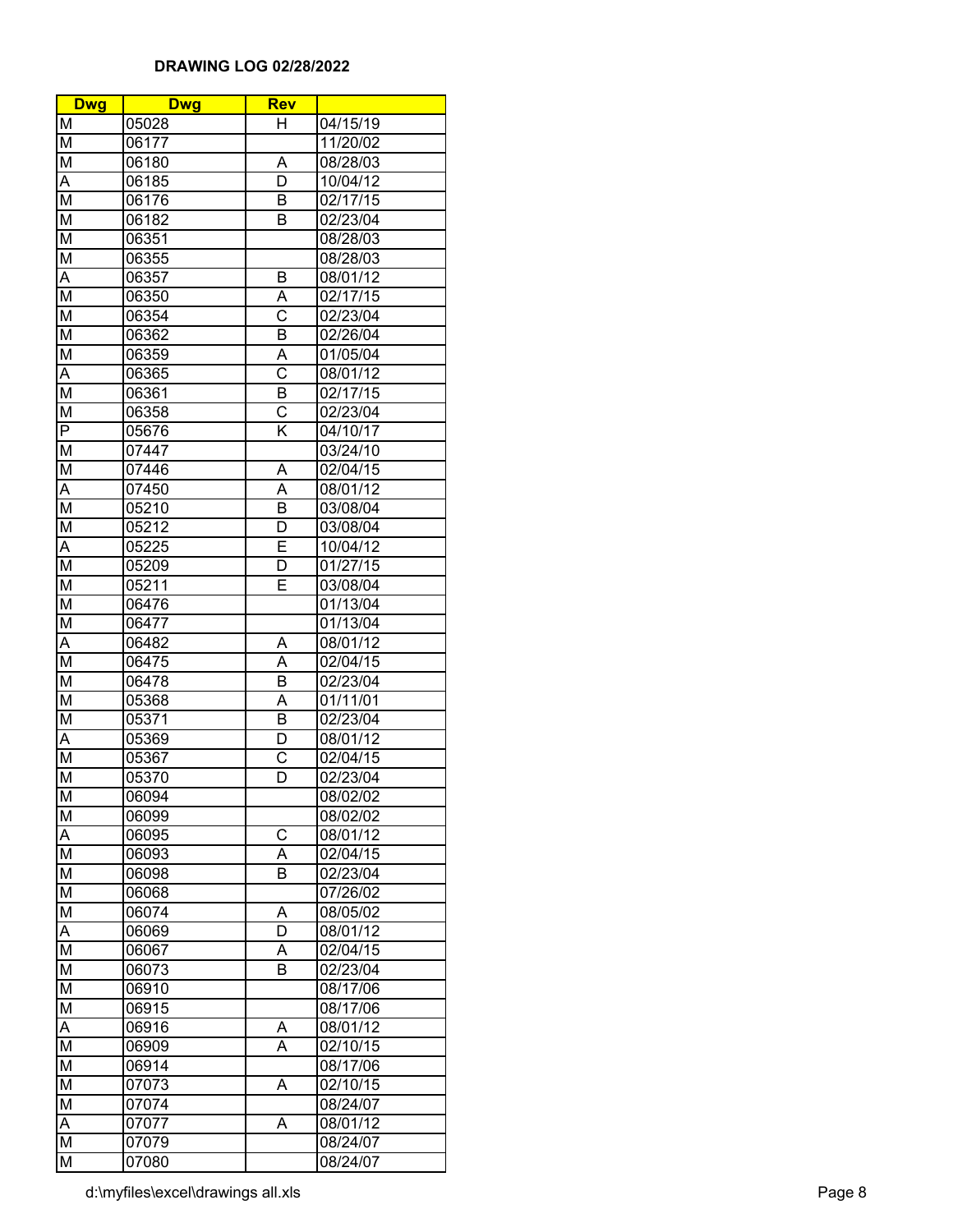| <b>Dwg</b>                   | <b>Dwg</b> | <b>Rev</b>              |          |
|------------------------------|------------|-------------------------|----------|
| М                            | 05028      | Н                       | 04/15/19 |
| M                            | 06177      |                         | 11/20/02 |
| $\overline{\mathsf{M}}$      | 06180      | A                       | 08/28/03 |
| Ā                            | 06185      | $\overline{\mathsf{D}}$ | 10/04/12 |
| $\overline{\mathsf{M}}$      | 06176      | B                       | 02/17/15 |
| M                            | 06182      | B                       | 02/23/04 |
| M                            | 06351      |                         | 08/28/03 |
| M                            | 06355      |                         | 08/28/03 |
| Α                            | 06357      | B                       | 08/01/12 |
| M                            | 06350      | A                       | 02/17/15 |
| M                            | 06354      | C                       | 02/23/04 |
| M                            | 06362      | B                       | 02/26/04 |
| $\overline{\mathsf{M}}$      | 06359      | Α                       | 01/05/04 |
| Α                            | 06365      | $\overline{\text{c}}$   | 08/01/12 |
| M                            | 06361      | B                       | 02/17/15 |
| M                            | 06358      | $\overline{\text{c}}$   | 02/23/04 |
| $\overline{\mathsf{P}}$      | 05676      | $\overline{\mathsf{K}}$ | 04/10/17 |
| M                            | 07447      |                         | 03/24/10 |
| $\overline{\mathsf{M}}$      | 07446      |                         |          |
|                              | 07450      | Α<br>A                  | 02/04/15 |
| A<br>$\overline{\mathsf{M}}$ |            |                         | 08/01/12 |
|                              | 05210      | B                       | 03/08/04 |
| $\overline{\mathsf{M}}$      | 05212      | D                       | 03/08/04 |
| A                            | 05225      | E                       | 10/04/12 |
| $\overline{\mathsf{M}}$      | 05209      | D<br>Ē                  | 01/27/15 |
| M                            | 05211      |                         | 03/08/04 |
| M                            | 06476      |                         | 01/13/04 |
| $\overline{\mathsf{M}}$      | 06477      |                         | 01/13/04 |
| Ā                            | 06482      | A                       | 08/01/12 |
| M                            | 06475      | Ā                       | 02/04/15 |
| $\overline{\mathsf{M}}$      | 06478      | B                       | 02/23/04 |
| M                            | 05368      | A                       | 01/11/01 |
| M                            | 05371      | B                       | 02/23/04 |
| Α                            | 05369      | D                       | 08/01/12 |
| M                            | 05367      | $\overline{\text{c}}$   | 02/04/15 |
| $\overline{\mathsf{M}}$      | 05370      | D                       | 02/23/04 |
| M                            | 06094      |                         | 08/02/02 |
| M                            | 06099      |                         | 08/02/02 |
| $\overline{A}$               | 06095      | С                       | 08/01/12 |
| M                            | 06093      | A                       | 02/04/15 |
| M                            | 06098      | B                       | 02/23/04 |
| M                            | 06068      |                         | 07/26/02 |
| M                            | 06074      | А                       | 08/05/02 |
| A                            | 06069      | D                       | 08/01/12 |
| $\overline{\mathsf{M}}$      | 06067      | Α                       | 02/04/15 |
| $\overline{\mathsf{M}}$      | 06073      | B                       | 02/23/04 |
| $\overline{\mathsf{M}}$      | 06910      |                         | 08/17/06 |
| $\overline{\mathsf{M}}$      | 06915      |                         | 08/17/06 |
| Α                            | 06916      | Α                       | 08/01/12 |
| M                            | 06909      | A                       | 02/10/15 |
| M                            | 06914      |                         | 08/17/06 |
| $\overline{\mathsf{M}}$      | 07073      | Ā                       | 02/10/15 |
| M                            | 07074      |                         | 08/24/07 |
| Α                            | 07077      | A                       | 08/01/12 |
| M                            | 07079      |                         | 08/24/07 |
| M                            | 07080      |                         | 08/24/07 |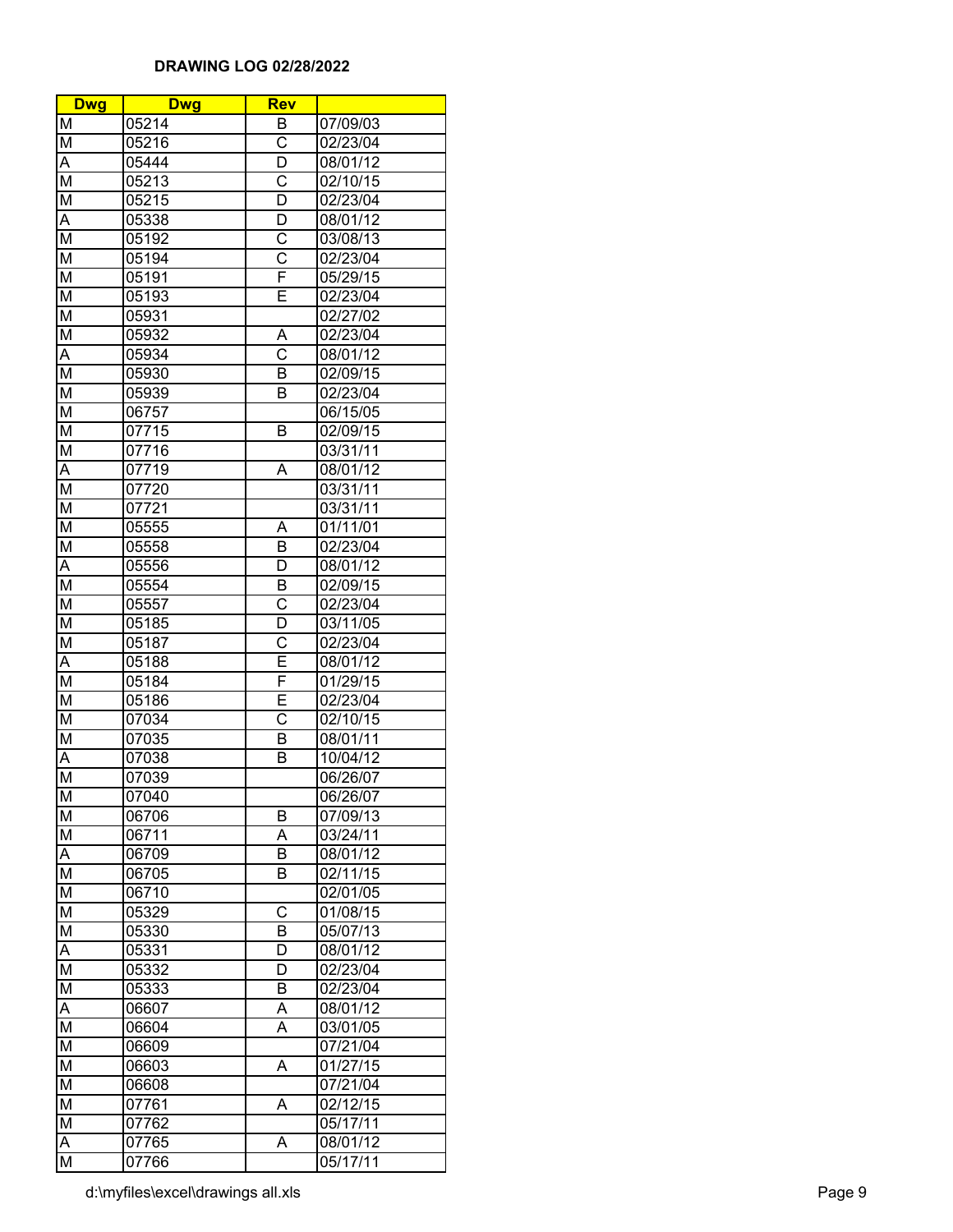| <b>Dwg</b>                   | <b>Dwg</b> | <b>Rev</b>              |          |
|------------------------------|------------|-------------------------|----------|
| М                            | 05214      | В                       | 07/09/03 |
| $\overline{\mathsf{M}}$      | 05216      | $\overline{\text{c}}$   | 02/23/04 |
| Α                            | 05444      | D                       | 08/01/12 |
| M                            | 05213      | $\overline{\text{c}}$   | 02/10/15 |
| $\overline{\mathsf{M}}$      | 05215      | D                       | 02/23/04 |
| A                            | 05338      | D                       | 08/01/12 |
| M                            | 05192      | С                       | 03/08/13 |
| M                            | 05194      | С                       | 02/23/04 |
| M                            | 05191      | F                       | 05/29/15 |
| M                            | 05193      | E                       | 02/23/04 |
| M                            | 05931      |                         | 02/27/02 |
| $\overline{\mathsf{M}}$      | 05932      | A                       | 02/23/04 |
| Α                            | 05934      | $\overline{\text{c}}$   | 08/01/12 |
| M                            | 05930      | B                       | 02/09/15 |
| M                            | 05939      | В                       | 02/23/04 |
| M                            | 06757      |                         | 06/15/05 |
| M                            | 07715      | B                       | 02/09/15 |
| $\overline{\mathsf{M}}$      | 07716      |                         | 03/31/11 |
|                              |            |                         |          |
| Ā<br>$\overline{\mathsf{M}}$ | 07719      | Α                       | 08/01/12 |
|                              | 07720      |                         | 03/31/11 |
| $\overline{\mathsf{M}}$      | 07721      |                         | 03/31/11 |
| M                            | 05555      | Α                       | 01/11/01 |
| M                            | 05558      | B                       | 02/23/04 |
| A                            | 05556      | D                       | 08/01/12 |
| M                            | 05554      | В                       | 02/09/15 |
| M                            | 05557      | $\overline{\text{c}}$   | 02/23/04 |
| $\overline{\mathsf{M}}$      | 05185      | D                       | 03/11/05 |
| $\overline{\mathsf{M}}$      | 05187      | $\overline{\text{c}}$   | 02/23/04 |
| Ā                            | 05188      | Ē                       | 08/01/12 |
| $\overline{\mathsf{M}}$      | 05184      | F                       | 01/29/15 |
| $\overline{\mathsf{M}}$      | 05186      | Ē                       | 02/23/04 |
| $\overline{M}$               | 07034      | $\overline{\text{c}}$   | 02/10/15 |
| M                            | 07035      | B                       | 08/01/11 |
| A                            | 07038      | B                       | 10/04/12 |
| M                            | 07039      |                         | 06/26/07 |
| M                            | 07040      |                         | 06/26/07 |
| M                            | 06706      | В                       | 07/09/13 |
| M                            | 06711      | А                       | 03/24/11 |
| A                            | 06709      | B                       | 08/01/12 |
| M                            | 06705      | В                       | 02/11/15 |
| Μ                            | 06710      |                         | 02/01/05 |
| M                            | 05329      | С                       | 01/08/15 |
| M                            | 05330      | $\overline{\mathsf{B}}$ | 05/07/13 |
| Α                            | 05331      | D                       | 08/01/12 |
| M                            | 05332      | D                       | 02/23/04 |
| $\overline{\mathsf{M}}$      | 05333      | B                       | 02/23/04 |
| A                            | 06607      | A                       | 08/01/12 |
| M                            | 06604      | A                       | 03/01/05 |
| M                            | 06609      |                         | 07/21/04 |
| M                            | 06603      | A                       | 01/27/15 |
| M                            | 06608      |                         | 07/21/04 |
| $\overline{\mathsf{M}}$      | 07761      | A                       | 02/12/15 |
| $\overline{\mathsf{M}}$      | 07762      |                         | 05/17/11 |
| Α                            | 07765      | A                       | 08/01/12 |
| $\overline{\mathsf{M}}$      | 07766      |                         | 05/17/11 |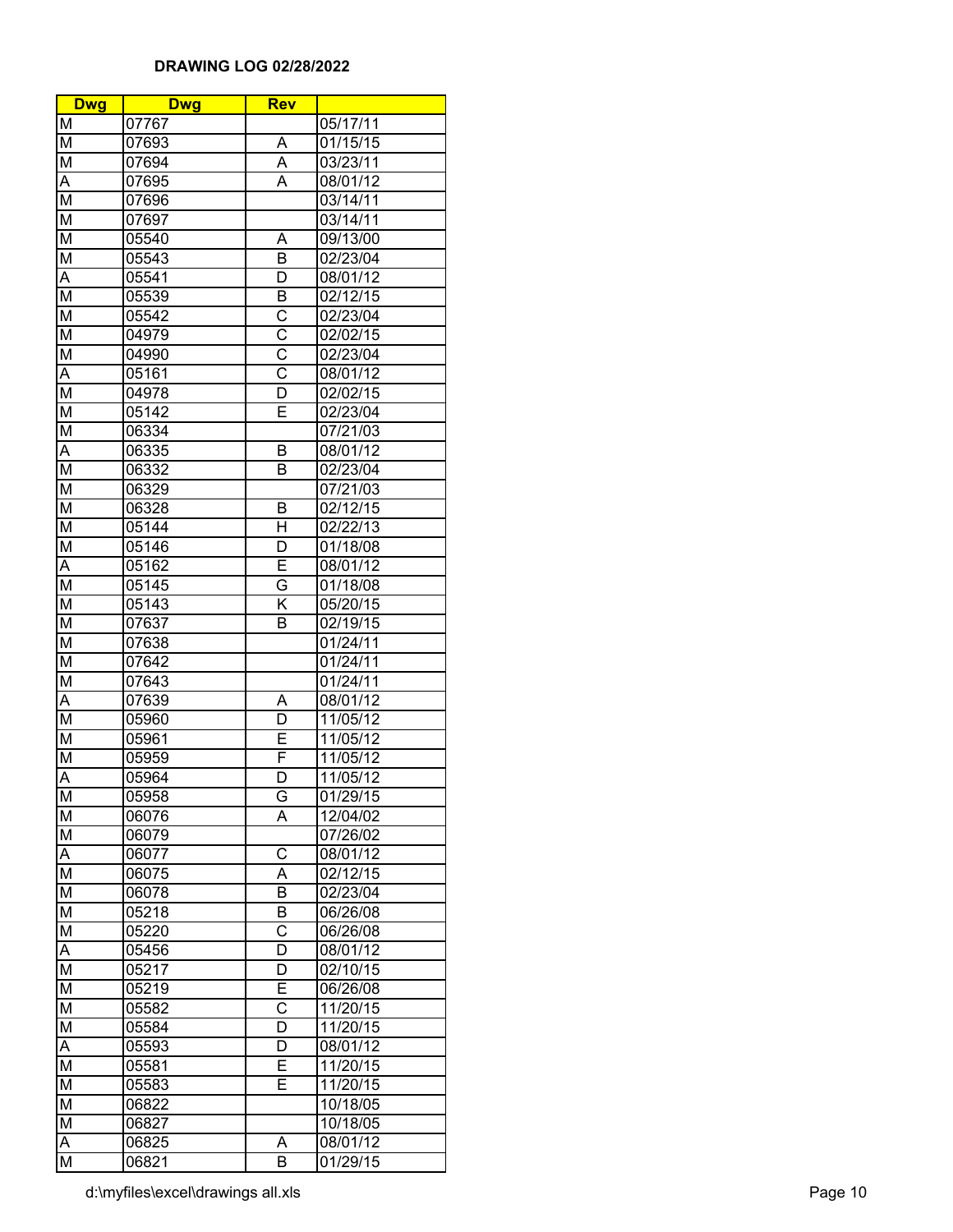| <b>Dwg</b>              | <b>Dwg</b> | <b>Rev</b>              |                       |
|-------------------------|------------|-------------------------|-----------------------|
| М                       | 07767      |                         | $\overline{05/17/11}$ |
| M                       | 07693      | Α                       | 01/15/15              |
| $\overline{\mathsf{M}}$ | 07694      | Ā                       | 03/23/11              |
| A                       | 07695      | $\overline{\mathsf{A}}$ | 08/01/12              |
| $\overline{\mathsf{M}}$ | 07696      |                         | 03/14/11              |
| M                       | 07697      |                         | 03/14/11              |
| M                       | 05540      | A                       | 09/13/00              |
| M                       | 05543      | B                       | 02/23/04              |
| A                       | 05541      | D                       | 08/01/12              |
| $\overline{\mathsf{M}}$ | 05539      | B                       | 02/12/15              |
| $\overline{\mathsf{M}}$ | 05542      | C                       | 02/23/04              |
| $\overline{\mathsf{M}}$ | 04979      | $\overline{\text{c}}$   | 02/02/15              |
| $\overline{\mathsf{M}}$ | 04990      | $\overline{\text{c}}$   | 02/23/04              |
| A                       | 05161      | $\overline{\text{c}}$   | 08/01/12              |
| M                       | 04978      | D                       | 02/02/15              |
| M                       | 05142      | E                       | 02/23/04              |
| $\overline{\mathsf{M}}$ | 06334      |                         | 07/21/03              |
| $\overline{A}$          | 06335      | В                       | 08/01/12              |
| $\overline{\mathsf{M}}$ | 06332      | B                       | 02/23/04              |
| $\overline{\mathsf{M}}$ | 06329      |                         | 07/21/03              |
| M                       | 06328      | В                       | 02/12/15              |
| M                       | 05144      | Η                       | 02/22/13              |
| M                       | 05146      | D                       | 01/18/08              |
| Α                       | 05162      | E                       | 08/01/12              |
| $\overline{\mathsf{M}}$ | 05145      | G                       | 01/18/08              |
| $\overline{\mathsf{M}}$ | 05143      | K                       | 05/20/15              |
| $\overline{\mathsf{M}}$ | 07637      | $\overline{\mathsf{B}}$ | 02/19/15              |
| M                       | 07638      |                         | 01/24/11              |
| M                       | 07642      |                         | 01/24/11              |
| M                       | 07643      |                         | 01/24/11              |
| A                       | 07639      | A                       | 08/01/12              |
| M                       | 05960      | D                       | 11/05/12              |
| M                       | 05961      | E                       | 11/05/12              |
| $\overline{\mathsf{M}}$ | 05959      | F                       | 11/05/12              |
| Ā                       | 05964      | D                       | 11/05/12              |
| M                       | 05958      | G                       | 01/29/15              |
| М                       | 06076      | A                       | 12/04/02              |
| M                       | 06079      |                         | 07/26/02              |
| Α                       | 06077      | С                       | 08/01/12              |
| M                       | 06075      | A                       | 02/12/15              |
| M                       | 06078      | $\overline{\mathsf{B}}$ | 02/23/04              |
| M                       | 05218      | B                       | 06/26/08              |
| M                       | 05220      | C                       | 06/26/08              |
| Α                       | 05456      | D                       | 08/01/12              |
| $\overline{\mathsf{M}}$ | 05217      | D                       | 02/10/15              |
| $\overline{\mathsf{M}}$ | 05219      | Ē                       | 06/26/08              |
| M                       | 05582      | $\overline{\text{c}}$   | 11/20/15              |
| M                       | 05584      | $\overline{\mathsf{D}}$ | 11/20/15              |
| Α                       | 05593      | D                       | 08/01/12              |
| $\overline{\mathsf{M}}$ | 05581      | Ē                       | 11/20/15              |
| $\overline{\mathsf{M}}$ | 05583      | E                       | 11/20/15              |
| $\overline{\mathsf{M}}$ | 06822      |                         | 10/18/05              |
| $\overline{\mathsf{M}}$ | 06827      |                         | 10/18/05              |
| $\overline{A}$          | 06825      | А                       | 08/01/12              |
| $\overline{\mathsf{M}}$ | 06821      | B                       | 01/29/15              |
|                         |            |                         |                       |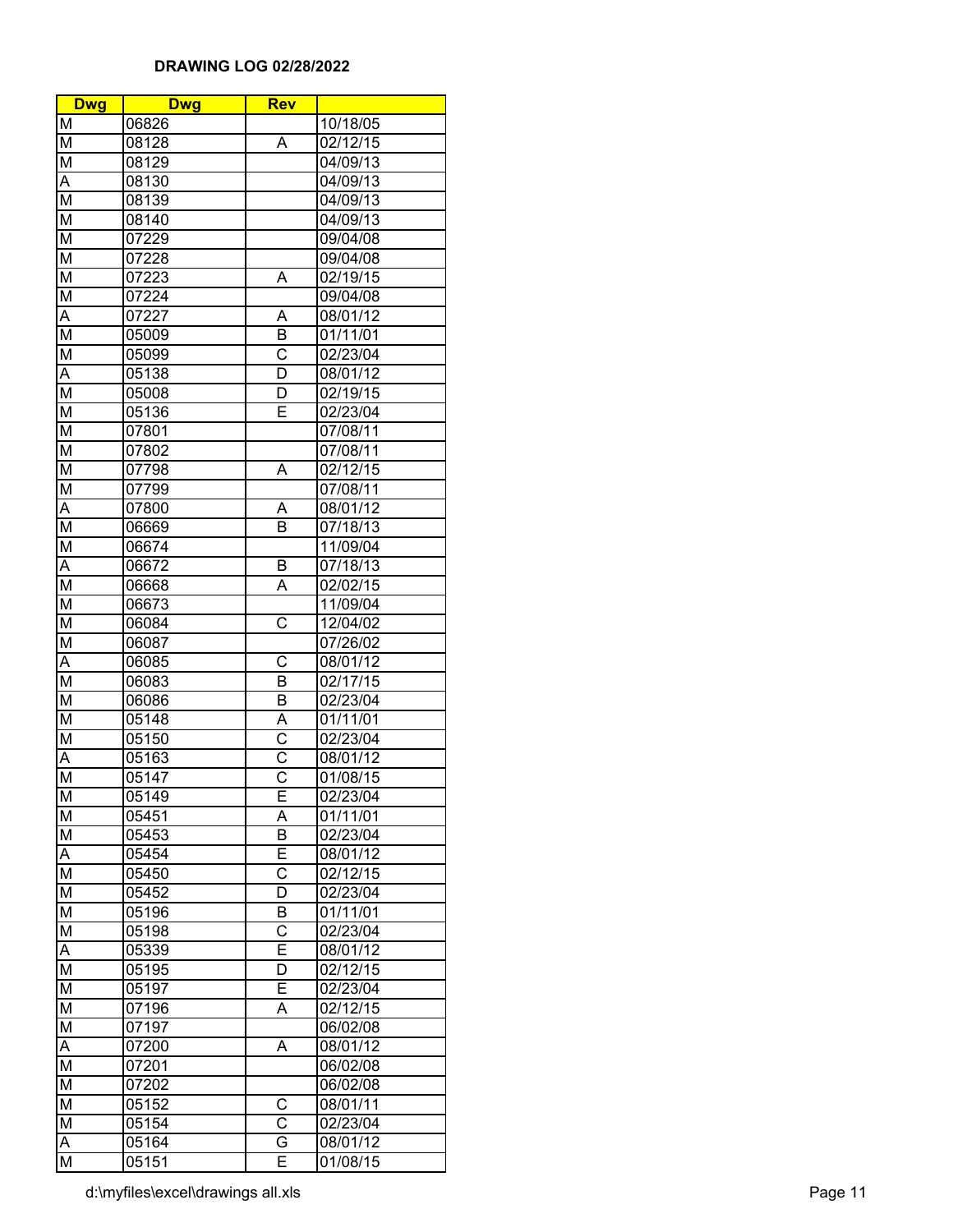| <b>Dwg</b>              | <b>Dwg</b> | <b>Rev</b>              |                       |
|-------------------------|------------|-------------------------|-----------------------|
| M                       | 06826      |                         | 10/18/05              |
| $\overline{\mathsf{M}}$ | 08128      | A                       | 02/12/15              |
| $\overline{\mathsf{M}}$ | 08129      |                         | 04/09/13              |
| Ā                       | 08130      |                         | 04/09/13              |
| $\overline{\mathsf{M}}$ | 08139      |                         | 04/09/13              |
| M                       | 08140      |                         | 04/09/13              |
| M                       | 07229      |                         | 09/04/08              |
| M                       | 07228      |                         | 09/04/08              |
| M                       | 07223      | A                       | 02/19/15              |
| $\overline{\mathsf{M}}$ | 07224      |                         | 09/04/08              |
| A                       | 07227      | A                       | 08/01/12              |
| $\overline{\mathsf{M}}$ | 05009      | B                       | $\overline{01/1}1/01$ |
| $\overline{\mathsf{M}}$ | 05099      | $\overline{\text{c}}$   | 02/23/04              |
|                         |            | D                       |                       |
| A                       | 05138      |                         | 08/01/12              |
| $\overline{\mathsf{M}}$ | 05008      | D                       | 02/19/15              |
| M                       | 05136      | Ē                       | 02/23/04              |
| M                       | 07801      |                         | 07/08/11              |
| $\overline{\mathsf{M}}$ | 07802      |                         | 07/08/11              |
| $\overline{\mathsf{M}}$ | 07798      | A                       | 02/12/15              |
| $\overline{\mathsf{M}}$ | 07799      |                         | 07/08/11              |
| $\overline{A}$          | 07800      | Α                       | 08/01/12              |
| $\overline{\mathsf{M}}$ | 06669      | B                       | 07/18/13              |
| $\overline{\mathsf{M}}$ | 06674      |                         | 11/09/04              |
| Α                       | 06672      | B                       | 07/18/13              |
| M                       | 06668      | Α                       | 02/02/15              |
| M                       | 06673      |                         | 11/09/04              |
| $\overline{\mathsf{M}}$ | 06084      | $\overline{\text{c}}$   | 12/04/02              |
| $\overline{\mathsf{M}}$ | 06087      |                         | 07/26/02              |
| Ā                       | 06085      | $\overline{\text{c}}$   | 08/01/12              |
| $\overline{\mathsf{M}}$ | 06083      | $\overline{\mathsf{B}}$ | 02/17/15              |
| $\overline{\mathsf{M}}$ | 06086      | B                       | 02/23/04              |
| M                       | 05148      | A                       | 01/11/01              |
| M                       | 05150      | $\overline{\text{c}}$   | 02/23/04              |
| A                       | 05163      | $\overline{\text{c}}$   | 08/01/12              |
| M                       | 05147      | $\overline{\text{c}}$   | 01/08/15              |
| M                       | 05149      | E                       | 02/23/04              |
| М                       | 05451      | A                       | 01/11/01              |
| M                       | 05453      | В                       | 02/23/04              |
| A                       | 05454      | E                       | 08/01/12              |
| $\overline{\mathsf{M}}$ | 05450      | С                       | 02/12/15              |
| M                       | 05452      | D                       | 02/23/04              |
| M                       | 05196      | B                       | 01/11/01              |
| M                       | 05198      | C                       | 02/23/04              |
| A                       | 05339      | E                       | 08/01/12              |
| M                       | 05195      | D                       | 02/12/15              |
| $\overline{\mathsf{M}}$ |            | Ē                       |                       |
|                         | 05197      | A                       | 02/23/04              |
| $\overline{\mathsf{M}}$ | 07196      |                         | 02/12/15              |
| M                       | 07197      |                         | 06/02/08              |
| Α                       | 07200      | A                       | 08/01/12              |
| M                       | 07201      |                         | 06/02/08              |
| M                       | 07202      |                         | 06/02/08              |
| $\overline{\mathsf{M}}$ | 05152      | $\overline{\text{C}}$   | 08/01/11              |
| $\overline{\mathsf{M}}$ | 05154      | $\overline{\text{c}}$   | 02/23/04              |
| Α                       | 05164      | G                       | 08/01/12              |
| $\overline{\mathsf{M}}$ | 05151      | E                       | 01/08/15              |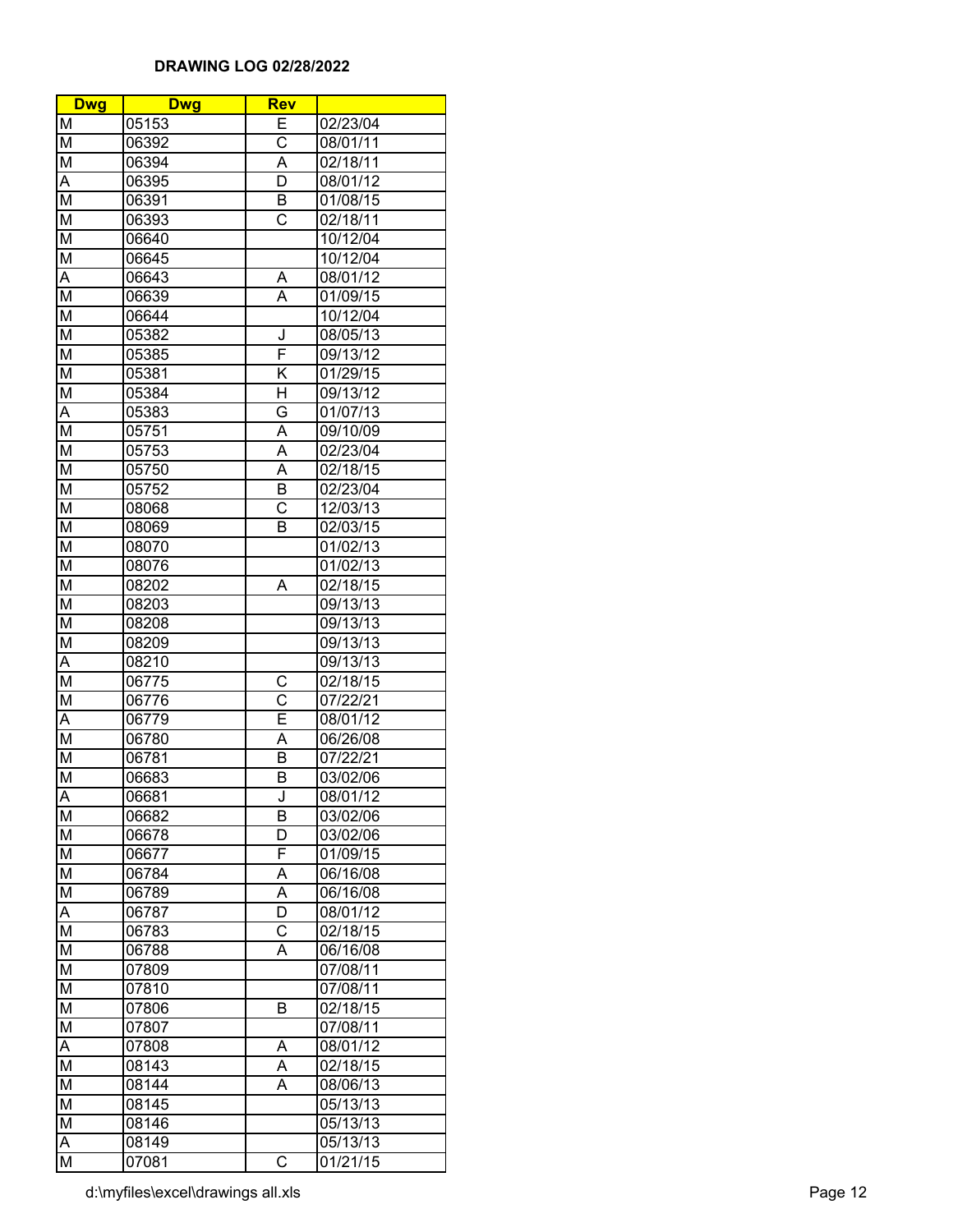| <b>Dwg</b>              | <b>Dwg</b> | <b>Rev</b>              |                       |
|-------------------------|------------|-------------------------|-----------------------|
| M                       | 05153      | E                       | $\overline{02/2}3/04$ |
| $\overline{\mathsf{M}}$ | 06392      | $\overline{\text{c}}$   | 08/01/11              |
| $\overline{\mathsf{M}}$ | 06394      | $\overline{\mathsf{A}}$ | 02/18/11              |
| Ā                       | 06395      | $\overline{\mathsf{D}}$ | 08/01/12              |
| $\overline{\mathsf{M}}$ | 06391      | B                       | 01/08/15              |
| M                       | 06393      | $\overline{\text{c}}$   | 02/18/11              |
| M                       | 06640      |                         | 10/12/04              |
| M                       | 06645      |                         | 10/12/04              |
| Α                       | 06643      | Α                       | 08/01/12              |
| M                       | 06639      | A                       | 01/09/15              |
| $\overline{\mathsf{M}}$ | 06644      |                         | 10/12/04              |
| M                       | 05382      | J                       | 08/05/13              |
| $\overline{\mathsf{M}}$ | 05385      | F                       | 09/13/12              |
| M                       |            | $\overline{\mathsf{K}}$ |                       |
|                         | 05381      |                         | 01/29/15              |
| $\overline{\mathsf{M}}$ | 05384      | Н                       | 09/13/12              |
| Α                       | 05383      | G                       | 01/07/13              |
| M                       | 05751      | Α                       | 09/10/09              |
| $\overline{\mathsf{M}}$ | 05753      | $\overline{\mathsf{A}}$ | 02/23/04              |
| $\overline{\mathsf{M}}$ | 05750      | $\overline{\mathsf{A}}$ | 02/18/15              |
| M                       | 05752      | B                       | 02/23/04              |
| $\overline{\mathsf{M}}$ | 08068      | $\overline{\text{C}}$   | 12/03/13              |
| M                       | 08069      | B                       | 02/03/15              |
| Μ                       | 08070      |                         | 01/02/13              |
| M                       | 08076      |                         | 01/02/13              |
| M                       | 08202      | Α                       | 02/18/15              |
| M                       | 08203      |                         | 09/13/13              |
| $\overline{\mathsf{M}}$ | 08208      |                         | 09/13/13              |
| $\overline{\mathsf{M}}$ | 08209      |                         | 09/13/13              |
| Ā                       | 08210      |                         | 09/13/13              |
| $\overline{\mathsf{M}}$ | 06775      | С                       | 02/18/15              |
| $\overline{\mathsf{M}}$ | 06776      | $\overline{\text{c}}$   | 07/22/21              |
| A                       | 06779      | Ē                       | 08/01/12              |
| M                       | 06780      | A                       | 06/26/08              |
| M                       | 06781      | $\overline{\mathsf{B}}$ | 07/22/21              |
| $\overline{\mathsf{M}}$ | 06683      | B                       | 03/02/06              |
| A                       | 06681      | J                       | 08/01/12              |
| M                       | 06682      | В                       | 03/02/06              |
| M                       | 06678      | D                       | 03/02/06              |
| Μ                       | 06677      | F                       | 01/09/15              |
| М                       | 06784      | Α                       | 06/16/08              |
| M                       | 06789      | A                       | 06/16/08              |
| Α                       | 06787      | D                       | 08/01/12              |
| M                       | 06783      | C                       | 02/18/15              |
| M                       | 06788      | A                       | 06/16/08              |
| M                       | 07809      |                         | 07/08/11              |
| $\overline{\mathsf{M}}$ | 07810      |                         | 07/08/11              |
| M                       | 07806      | B                       | 02/18/15              |
| M                       | 07807      |                         | 07/08/11              |
| Α                       | 07808      | Α                       | 08/01/12              |
| M                       | 08143      | A                       | 02/18/15              |
| M                       | 08144      | $\overline{\mathsf{A}}$ | 08/06/13              |
| $\overline{\mathsf{M}}$ | 08145      |                         | 05/13/13              |
| $\overline{\mathsf{M}}$ | 08146      |                         | 05/13/13              |
| Α                       | 08149      |                         | 05/13/13              |
| $\overline{\mathsf{M}}$ | 07081      | С                       | 01/21/15              |
|                         |            |                         |                       |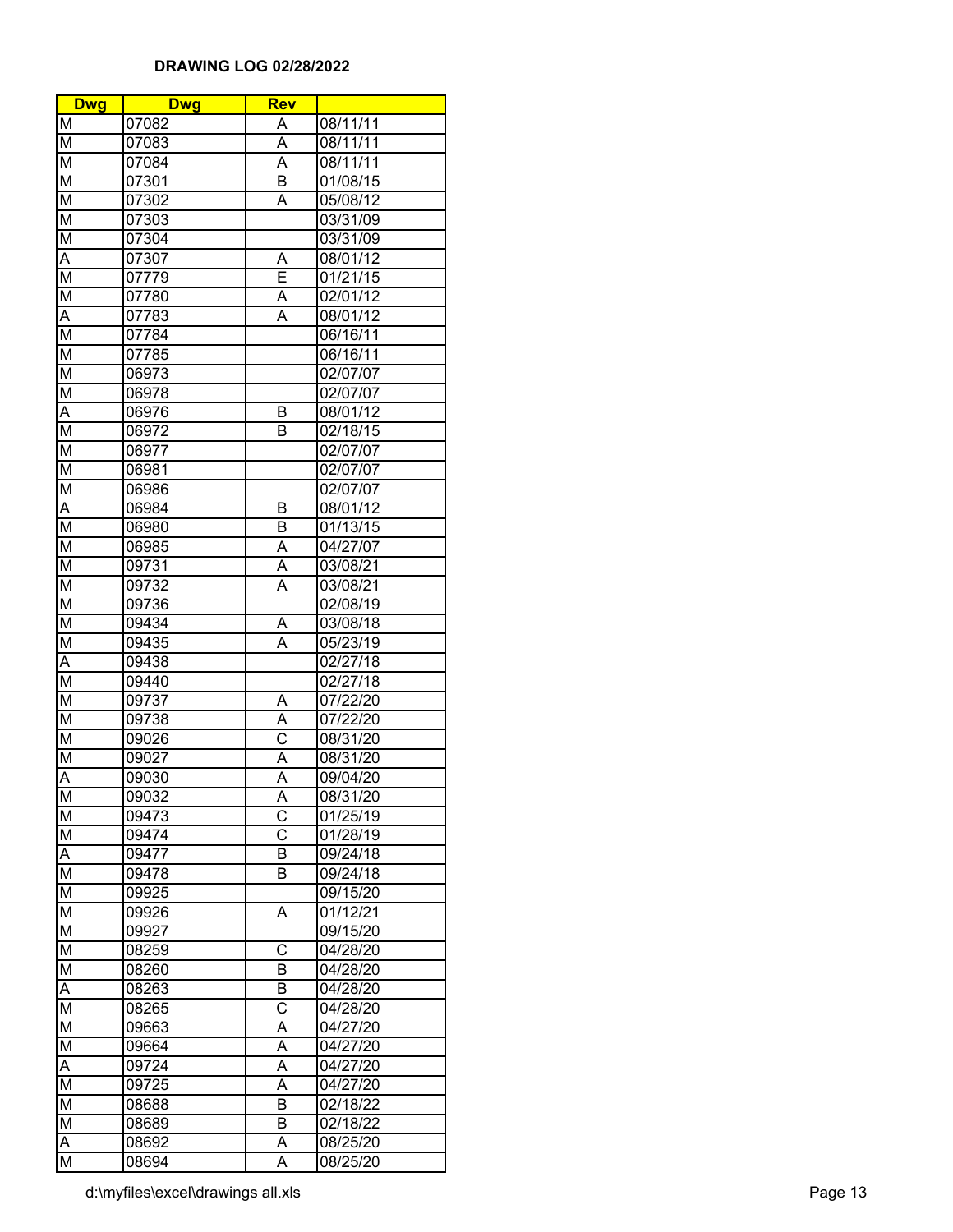| <b>Dwg</b>              | <b>Dwg</b> | <b>Rev</b>              |                       |
|-------------------------|------------|-------------------------|-----------------------|
| Μ                       | 07082      | Α                       | 08/11/11              |
| M                       | 07083      | A                       | 08/11/11              |
| $\overline{\mathsf{M}}$ | 07084      | Ā                       | 08/11/11              |
| $\overline{\mathsf{M}}$ | 07301      | $\overline{\mathsf{B}}$ | 01/08/15              |
| Μ                       | 07302      | A                       | 05/08/12              |
| M                       | 07303      |                         | 03/31/09              |
| M                       | 07304      |                         | 03/31/09              |
| Α                       | 07307      | Α                       | 08/01/12              |
| M                       | 07779      | Ē                       | $\overline{0}1/21/15$ |
| $\overline{\mathsf{M}}$ | 07780      | Α                       | 02/01/12              |
| A                       | 07783      | A                       | 08/01/12              |
| $\overline{\mathsf{M}}$ | 07784      |                         | 06/16/11              |
| $\overline{\mathsf{M}}$ | 07785      |                         | 06/16/11              |
| M                       | 06973      |                         | 02/07/07              |
| M                       | 06978      |                         | 02/07/07              |
| A                       | 06976      | в                       | 08/01/12              |
| $\overline{\mathsf{M}}$ | 06972      | B                       | 02/18/15              |
| $\overline{\mathsf{M}}$ | 06977      |                         | 02/07/07              |
| M                       | 06981      |                         | 02/07/07              |
| $\overline{\mathsf{M}}$ | 06986      |                         | 02/07/07              |
| A                       | 06984      | В                       | 08/01/12              |
| $\overline{\mathsf{M}}$ | 06980      | B                       | 01/13/15              |
| M                       | 06985      | Α                       | 04/27/07              |
| M                       | 09731      | Α                       | 03/08/21              |
| M                       | 09732      | A                       | 03/08/21              |
| $\overline{\mathsf{M}}$ | 09736      |                         | 02/08/19              |
| $\overline{\mathsf{M}}$ | 09434      | A                       | 03/08/18              |
| M                       | 09435      | $\overline{\mathsf{A}}$ | 05/23/19              |
| Ā                       | 09438      |                         | 02/27/18              |
| M                       | 09440      |                         | 02/27/18              |
| M                       | 09737      | A                       | 07/22/20              |
| M                       | 09738      | A                       | 07/22/20              |
| M                       | 09026      | $\overline{\text{c}}$   | 08/31/20              |
| $\overline{\mathsf{M}}$ | 09027      | Ā                       | 08/31/20              |
| Ā                       | 09030      | Ā                       | 09/04/20              |
| M                       | 09032      | Α                       | 08/31/20              |
| М                       | 09473      | $\overline{\text{C}}$   | 01/25/19              |
| M                       | 09474      | $\overline{\text{C}}$   | 01/28/19              |
| Α                       | 09477      | В                       | 09/24/18              |
| M                       | 09478      | В                       | 09/24/18              |
| Μ                       | 09925      |                         | 09/15/20              |
| M                       | 09926      | A                       | 01/12/21              |
| Μ                       | 09927      |                         | 09/15/20              |
| M                       | 08259      | C                       | 04/28/20              |
| $\overline{\mathsf{M}}$ | 08260      | B                       | 04/28/20              |
| A                       | 08263      | B                       | 04/28/20              |
| M                       | 08265      | $\overline{\text{c}}$   | 04/28/20              |
| M                       | 09663      | A                       | 04/27/20              |
| M                       | 09664      | A                       | 04/27/20              |
| Ā                       | 09724      | A                       | 04/27/20              |
| M                       | 09725      | Ā                       | 04/27/20              |
| Μ                       | 08688      | В                       | 02/18/22              |
| $\overline{\mathsf{M}}$ | 08689      | B                       | 02/18/22              |
| $\overline{A}$          | 08692      | А                       | 08/25/20              |
| M                       | 08694      | Α                       | 08/25/20              |
|                         |            |                         |                       |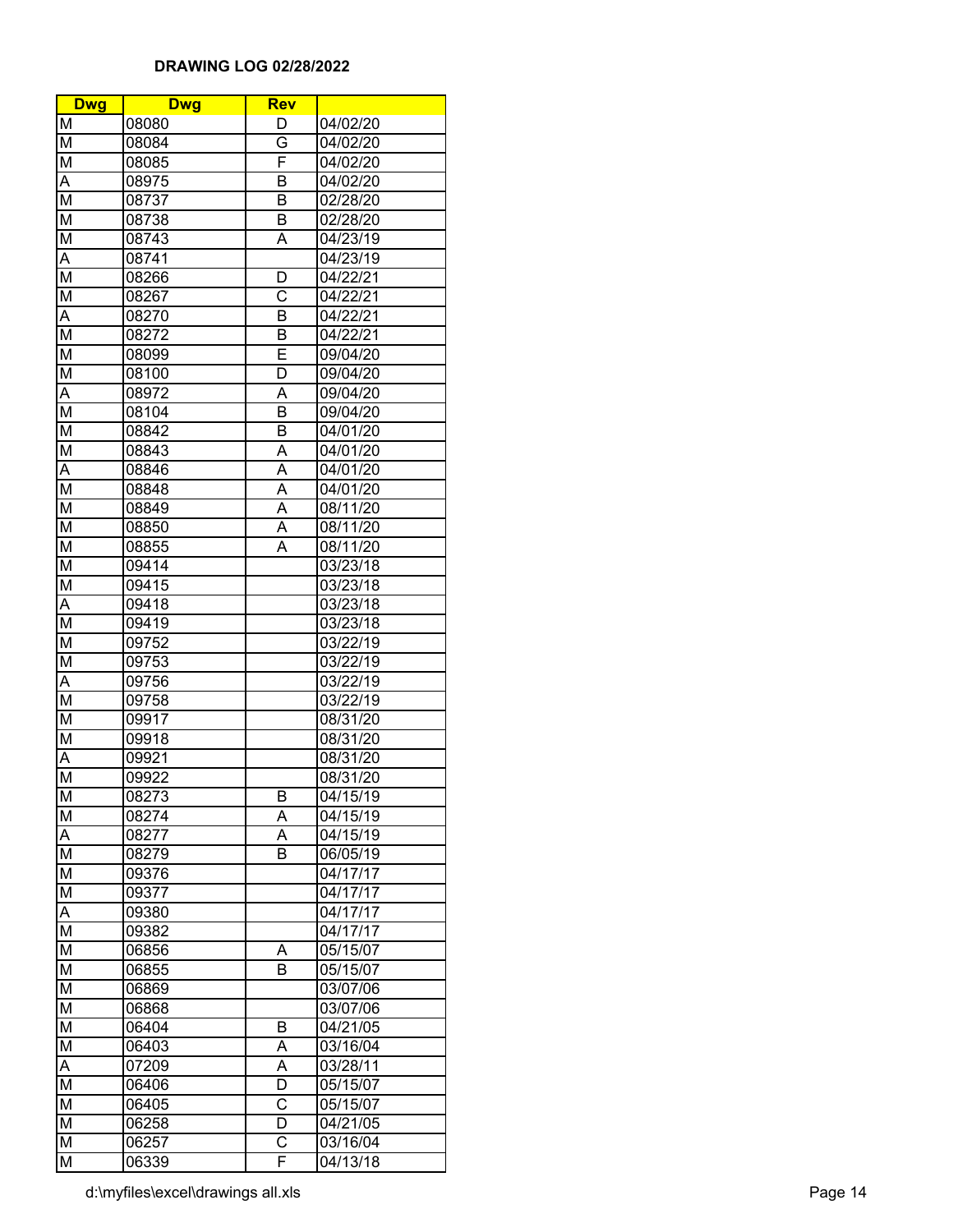| <b>Dwg</b>              | <b>Dwg</b> | <b>Rev</b>              |          |
|-------------------------|------------|-------------------------|----------|
| М                       | 08080      | D                       | 04/02/20 |
| M                       | 08084      | G                       | 04/02/20 |
| $\overline{\mathsf{M}}$ | 08085      | F                       | 04/02/20 |
| A                       | 08975      | B                       | 04/02/20 |
| $\overline{\mathsf{M}}$ | 08737      | B                       | 02/28/20 |
| M                       | 08738      | B                       | 02/28/20 |
| M                       | 08743      | A                       | 04/23/19 |
| A                       | 08741      |                         | 04/23/19 |
| M                       | 08266      | D                       | 04/22/21 |
| M                       | 08267      | С                       | 04/22/21 |
| A                       | 08270      | В                       | 04/22/21 |
| M                       | 08272      | B                       | 04/22/21 |
| $\overline{\mathsf{M}}$ | 08099      | E                       | 09/04/20 |
| $\overline{\mathsf{M}}$ | 08100      | D                       | 09/04/20 |
| Α                       | 08972      | A                       | 09/04/20 |
| M                       | 08104      | B                       | 09/04/20 |
|                         |            |                         | 04/01/20 |
| M                       | 08842      | В<br>A                  |          |
| $\overline{\mathsf{M}}$ | 08843      |                         | 04/01/20 |
| Ā                       | 08846      | Ā                       | 04/01/20 |
| $\overline{\mathsf{M}}$ | 08848      | A                       | 04/01/20 |
| M                       | 08849      | A                       | 08/11/20 |
| M                       | 08850      | $\overline{\mathsf{A}}$ | 08/11/20 |
| Μ                       | 08855      | $\overline{\mathsf{A}}$ | 08/11/20 |
| M                       | 09414      |                         | 03/23/18 |
| M                       | 09415      |                         | 03/23/18 |
| Α                       | 09418      |                         | 03/23/18 |
| $\overline{\mathsf{M}}$ | 09419      |                         | 03/23/18 |
| $\overline{\mathsf{M}}$ | 09752      |                         | 03/22/19 |
| M                       | 09753      |                         | 03/22/19 |
| A                       | 09756      |                         | 03/22/19 |
| M                       | 09758      |                         | 03/22/19 |
| M                       | 09917      |                         | 08/31/20 |
| M                       | 09918      |                         | 08/31/20 |
| A                       | 09921      |                         | 08/31/20 |
| M                       | 09922      |                         | 08/31/20 |
| M                       | 08273      | B                       | 04/15/19 |
| M                       | 08274      | A                       | 04/15/19 |
| Α                       | 08277      | Α                       | 04/15/19 |
| M                       | 08279      | В                       | 06/05/19 |
| М                       | 09376      |                         | 04/17/17 |
| M                       | 09377      |                         | 04/17/17 |
| Α                       | 09380      |                         | 04/17/17 |
| $\overline{\mathsf{M}}$ | 09382      |                         | 04/17/17 |
| M                       | 06856      | A                       | 05/15/07 |
| M                       | 06855      | B                       | 05/15/07 |
| $\overline{\mathsf{M}}$ | 06869      |                         | 03/07/06 |
| M                       | 06868      |                         | 03/07/06 |
| M                       | 06404      | B                       | 04/21/05 |
| M                       | 06403      | A                       | 03/16/04 |
| Α                       | 07209      | A                       | 03/28/11 |
| $\overline{\mathsf{M}}$ | 06406      | $\overline{\mathsf{D}}$ | 05/15/07 |
| $\overline{\mathsf{M}}$ | 06405      | $\overline{\text{c}}$   | 05/15/07 |
| Μ                       | 06258      | D                       | 04/21/05 |
| $\overline{\mathsf{M}}$ | 06257      | $\overline{\text{c}}$   | 03/16/04 |
| $\overline{\mathsf{M}}$ | 06339      | F                       | 04/13/18 |
|                         |            |                         |          |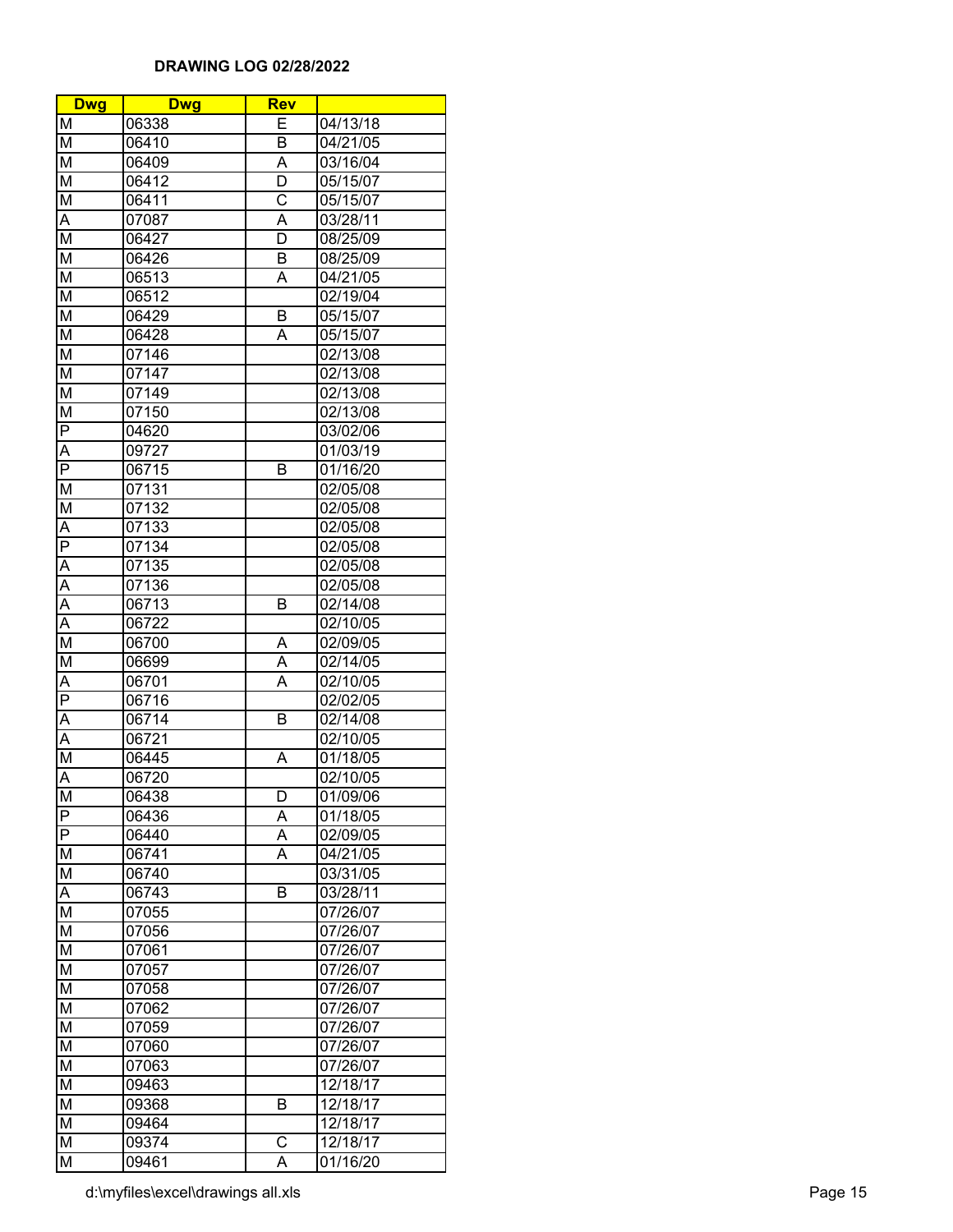| <b>Dwg</b>                          | <b>Dwg</b> | <b>Rev</b>              |                       |
|-------------------------------------|------------|-------------------------|-----------------------|
| M                                   | 06338      | Ē                       | $\overline{04/13}/18$ |
| $\overline{\mathsf{M}}$             | 06410      | B                       | 04/21/05              |
| M                                   | 06409      | Ā                       | 03/16/04              |
| M                                   | 06412      | $\overline{\mathsf{D}}$ | 05/15/07              |
| $\overline{\mathsf{M}}$             | 06411      | $\overline{\text{c}}$   | 05/15/07              |
| Α                                   | 07087      | A                       | 03/28/11              |
| M                                   | 06427      | D                       | 08/25/09              |
| M                                   | 06426      | B                       | 08/25/09              |
| M                                   | 06513      | Α                       | 04/21/05              |
| M                                   | 06512      |                         | 02/19/04              |
| M                                   | 06429      | B                       | 05/15/07              |
| M                                   | 06428      | A                       | 05/15/07              |
| $\overline{\mathsf{M}}$             | 07146      |                         | 02/13/08              |
| $\overline{\mathsf{M}}$             | 07147      |                         | 02/13/08              |
| M                                   | 07149      |                         | 02/13/08              |
| M                                   | 07150      |                         | 02/13/08              |
| $\overline{\mathsf{P}}$             | 04620      |                         | 03/02/06              |
|                                     |            |                         |                       |
| $\frac{\overline{A}}{\overline{P}}$ | 09727      |                         | 01/03/19              |
|                                     | 06715      | B                       | 01/16/20              |
| M                                   | 07131      |                         | 02/05/08              |
| $\overline{\mathsf{M}}$             | 07132      |                         | 02/05/08              |
| $\overline{A}$                      | 07133      |                         | 02/05/08              |
| $\overline{\mathsf{P}}$             | 07134      |                         | 02/05/08              |
| A                                   | 07135      |                         | 02/05/08              |
| Ā                                   | 07136      |                         | 02/05/08              |
| Ā                                   | 06713      | B                       | 02/14/08              |
| Ā                                   | 06722      |                         | 02/10/05              |
| $\overline{\mathsf{M}}$             | 06700      | A                       | 02/09/05              |
| M                                   | 06699      | $\overline{\mathsf{A}}$ | 02/14/05              |
| $\overline{A}$                      | 06701      | A                       | 02/10/05              |
| $\overline{P}$                      | 06716      |                         | 02/02/05              |
| Ā                                   | 06714      | B                       | 02/14/08              |
| A                                   | 06721      |                         | 02/10/05              |
| $\overline{\mathsf{M}}$             | 06445      | Α                       | $\overline{01}/18/05$ |
| Ā                                   | 06720      |                         | 02/10/05              |
| $\overline{\mathsf{M}}$             | 06438      | $\overline{D}$          | 01/09/06              |
| P                                   | 06436      | A                       | 01/18/05              |
| $\overline{\mathsf{P}}$             | 06440      | А                       | 02/09/05              |
| M                                   | 06741      | $\overline{\mathsf{A}}$ | 04/21/05              |
| M                                   | 06740      |                         | 03/31/05              |
| Α                                   | 06743      | В                       | 03/28/11              |
| M                                   | 07055      |                         | 07/26/07              |
| M                                   | 07056      |                         | 07/26/07              |
| M                                   | 07061      |                         | 07/26/07              |
| $\overline{\mathsf{M}}$             | 07057      |                         | 07/26/07              |
| $\overline{\mathsf{M}}$             | 07058      |                         | 07/26/07              |
| $\overline{\mathsf{M}}$             | 07062      |                         | 07/26/07              |
| M                                   | 07059      |                         | 07/26/07              |
| $\overline{M}$                      | 07060      |                         | 07/26/07              |
| M                                   | 07063      |                         | 07/26/07              |
| M                                   | 09463      |                         | 12/18/17              |
| $\overline{\mathsf{M}}$             | 09368      | B                       | 12/18/17              |
| $\overline{\mathsf{M}}$             | 09464      |                         | 12/18/17              |
| $\overline{\mathsf{M}}$             | 09374      | C                       | 12/18/17              |
| M                                   | 09461      | A                       | $\overline{0}1/16/20$ |
|                                     |            |                         |                       |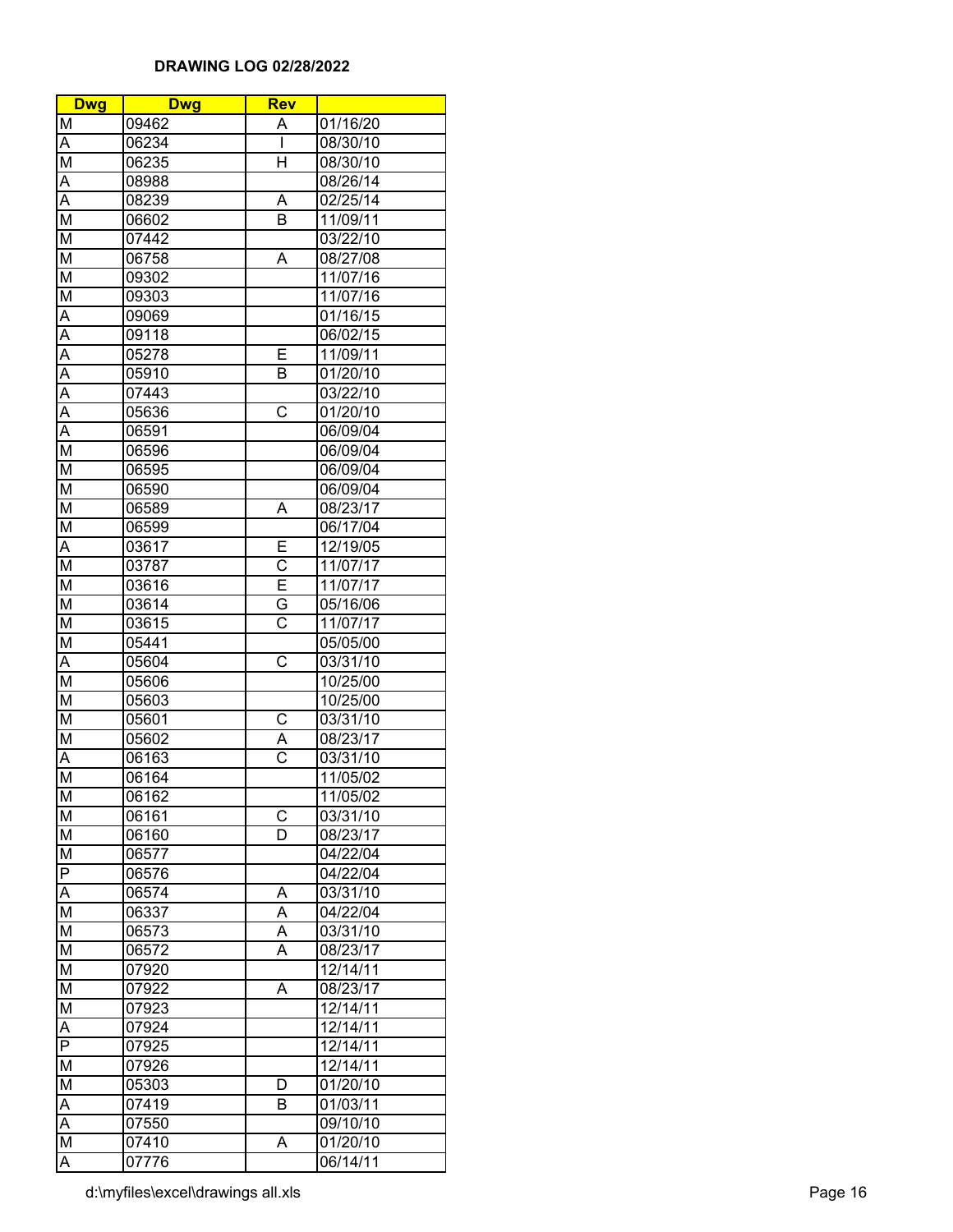| <b>Dwg</b>              | <b>Dwg</b> | <b>Rev</b>              |                       |
|-------------------------|------------|-------------------------|-----------------------|
| M                       | 09462      | A                       | 01/16/20              |
| Ā                       | 06234      | I                       | 08/30/10              |
| M                       | 06235      | $\overline{\mathsf{H}}$ | 08/30/10              |
| $\overline{A}$          | 08988      |                         | 08/26/14              |
| $\overline{A}$          | 08239      | Α                       | 02/25/14              |
| M                       | 06602      | B                       | 11/09/11              |
| M                       | 07442      |                         | 03/22/10              |
| M                       | 06758      | A                       | 08/27/08              |
| M                       | 09302      |                         | 11/07/16              |
| $\overline{\mathsf{M}}$ | 09303      |                         | 11/07/16              |
| $\overline{A}$          | 09069      |                         | 01/16/15              |
| $\overline{\mathsf{A}}$ | 09118      |                         | 06/02/15              |
|                         | 05278      | E                       | 11/09/11              |
| $\frac{A}{A}$           | 05910      | B                       | 01/20/10              |
| Ā                       | 07443      |                         | 03/22/10              |
| Ā                       | 05636      | $\overline{\text{c}}$   | 01/20/10              |
| Ā                       |            |                         |                       |
|                         | 06591      |                         | 06/09/04<br>06/09/04  |
| $\overline{\mathsf{M}}$ | 06596      |                         |                       |
| M                       | 06595      |                         | 06/09/04              |
| $\overline{\mathsf{M}}$ | 06590      |                         | 06/09/04              |
| $\overline{\mathsf{M}}$ | 06589      | Α                       | 08/23/17              |
| $\overline{\mathsf{M}}$ | 06599      |                         | 06/17/04              |
| A                       | 03617      | E                       | 12/19/05              |
| $\overline{\mathsf{M}}$ | 03787      | С                       | 11/07/17              |
| M                       | 03616      | Ē                       | 11/07/17              |
| $\overline{\mathsf{M}}$ | 03614      | G                       | 05/16/06              |
| $\overline{\mathsf{M}}$ | 03615      | Ĉ                       | $\frac{1}{11}$ /07/17 |
| $\overline{\mathsf{M}}$ | 05441      |                         | 05/05/00              |
| Ā                       | 05604      | $\overline{\text{c}}$   | 03/31/10              |
| $\overline{\mathsf{M}}$ | 05606      |                         | 10/25/00              |
| $\overline{\mathsf{M}}$ | 05603      |                         | 10/25/00              |
| M                       | 05601      | C                       | 03/31/10              |
| M                       | 05602      | Α                       | 08/23/17              |
| A                       | 06163      | $\overline{\text{c}}$   | 03/31/10              |
| M                       | 06164      |                         | 11/05/02              |
| M                       | 06162      |                         | 11/05/02              |
| M                       | 06161      | C                       | 03/31/10              |
| M                       | 06160      | D                       | 08/23/17              |
| $\overline{\mathsf{M}}$ | 06577      |                         | 04/22/04              |
| $\overline{P}$          | 06576      |                         | 04/22/04              |
| Α                       | 06574      | Α                       | 03/31/10              |
| $\overline{\mathsf{M}}$ | 06337      | A                       | 04/22/04              |
| M                       | 06573      | A                       | 03/31/10              |
| M                       | 06572      | A                       | 08/23/17              |
| M                       | 07920      |                         | 12/14/11              |
| $\overline{\mathsf{M}}$ | 07922      | A                       | 08/23/17              |
| $\overline{\mathsf{M}}$ | 07923      |                         | 12/14/11              |
| Α                       | 07924      |                         | 12/14/11              |
| $\overline{\mathsf{P}}$ | 07925      |                         | 12/14/11              |
| M                       | 07926      |                         | 12/14/11              |
| $\overline{\mathsf{M}}$ | 05303      | D                       | 01/20/10              |
| Ā                       | 07419      | B                       | 01/03/11              |
| Ā                       | 07550      |                         | 09/10/10              |
| M                       | 07410      | A                       | 01/20/10              |
| Ā                       | 07776      |                         | 06/14/11              |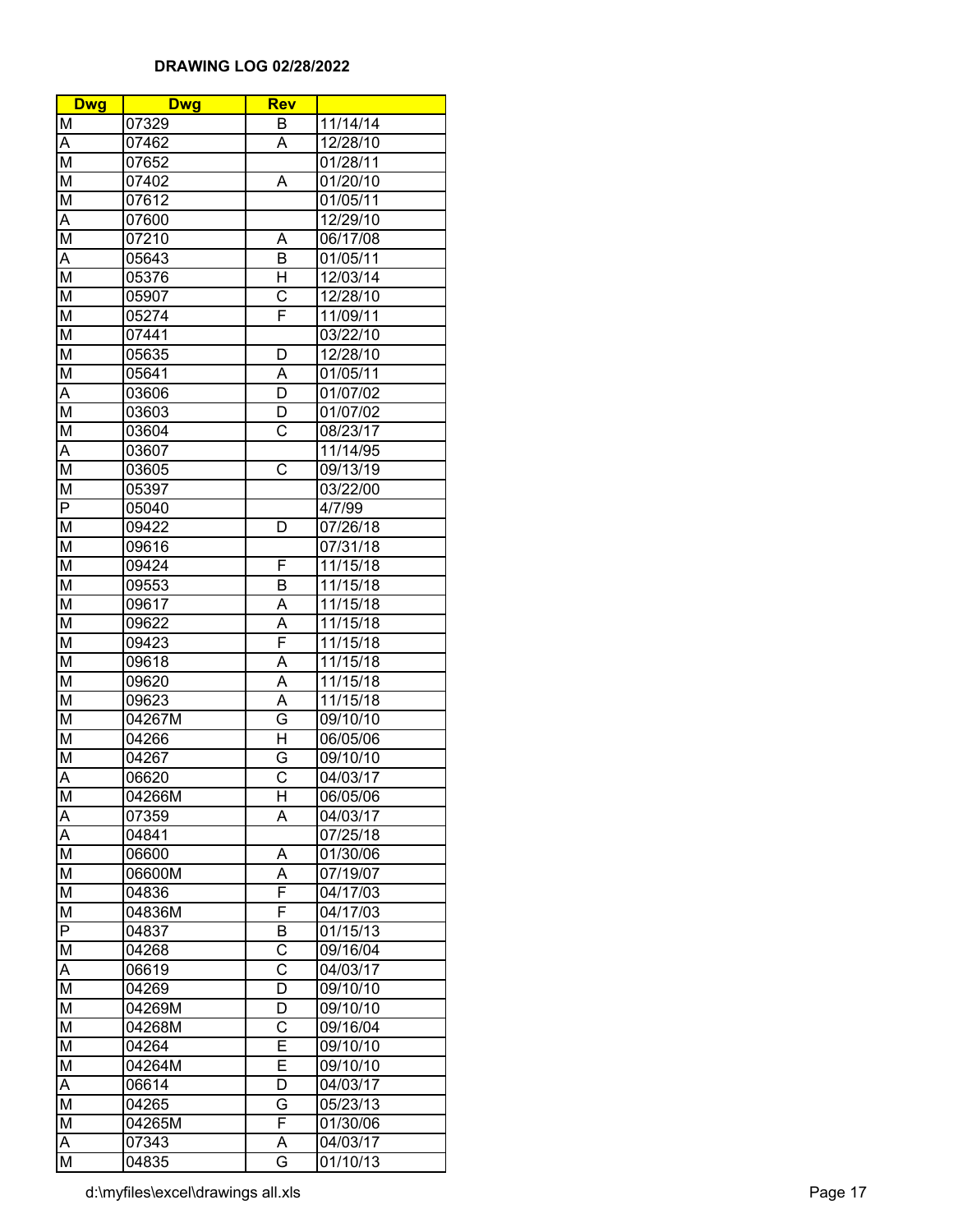| <b>Dwg</b>              | <b>Dwg</b> | <b>Rev</b>              |                       |
|-------------------------|------------|-------------------------|-----------------------|
| Μ                       | 07329      | В                       | 11/14/14              |
| Ā                       | 07462      | Ā                       | 12/28/10              |
| $\overline{\mathsf{M}}$ | 07652      |                         | 01/28/11              |
| M                       | 07402      | Ā                       | 01/20/10              |
| $\overline{\mathsf{M}}$ | 07612      |                         | 01/05/11              |
| A                       | 07600      |                         | 12/29/10              |
| $\overline{\mathsf{M}}$ | 07210      | A                       | 06/17/08              |
| Α                       | 05643      | B                       | 01/05/11              |
| M                       | 05376      | Н                       | 12/03/14              |
| M                       | 05907      | C                       | 12/28/10              |
| M                       | 05274      | F                       | 11/09/11              |
| M                       | 07441      |                         | 03/22/10              |
| $\overline{\mathsf{M}}$ |            | D                       | 12/28/10              |
|                         | 05635      |                         |                       |
| $\overline{\mathsf{M}}$ | 05641      | A                       | 01/05/11              |
| A                       | 03606      | D                       | 01/07/02              |
| M                       | 03603      | D                       | 01/07/02              |
| M                       | 03604      | $\overline{\text{c}}$   | 08/23/17              |
| $\overline{A}$          | 03607      |                         | 11/14/95              |
| M                       | 03605      | $\overline{\text{c}}$   | 09/13/19              |
| $\overline{\mathsf{M}}$ | 05397      |                         | 03/22/00              |
| $\overline{P}$          | 05040      |                         | 4/7/99                |
| M                       | 09422      | D                       | 07/26/18              |
| M                       | 09616      |                         | 07/31/18              |
| M                       | 09424      | F                       | 11/15/18              |
| M                       | 09553      | B                       | 11/15/18              |
| $\overline{\mathsf{M}}$ | 09617      | A                       | $11/15/\overline{18}$ |
| $\overline{\mathsf{M}}$ | 09622      | Α                       | 11/15/18              |
| $\overline{\mathsf{M}}$ | 09423      | F                       | 11/15/18              |
| M                       | 09618      | Ā                       | 11/15/18              |
| $\overline{\mathsf{M}}$ | 09620      | A                       | 11/15/18              |
| M                       | 09623      | A                       | 11/15/18              |
| $\overline{M}$          | 04267M     | G                       | 09/10/10              |
| M                       | 04266      | $\overline{\mathsf{H}}$ | 06/05/06              |
| M                       | 04267      | G                       | 09/10/10              |
| Ā                       | 06620      | $\overline{\text{c}}$   | 04/03/17              |
| $\overline{\mathsf{M}}$ | 04266M     | $\overline{\mathsf{H}}$ | 06/05/06              |
| A                       | 07359      | A                       | 04/03/17              |
| A                       | 04841      |                         | 07/25/18              |
| M                       | 06600      | Α                       | 01/30/06              |
| M                       | 06600M     | $\overline{\mathsf{A}}$ | 07/19/07              |
| M                       | 04836      | F                       | 04/17/03              |
| M                       | 04836M     | F                       | 04/17/03              |
| P                       | 04837      | B                       | 01/15/13              |
| M                       | 04268      | C                       | 09/16/04              |
|                         |            | $\overline{\text{c}}$   |                       |
| Α                       | 06619      |                         | 04/03/17              |
| $\overline{\mathsf{M}}$ | 04269      | D                       | 09/10/10              |
| $\overline{\mathsf{M}}$ | 04269M     | D                       | 09/10/10              |
| M                       | 04268M     | $\overline{\text{C}}$   | 09/16/04              |
| M                       | 04264      | Ē                       | 09/10/10              |
| M                       | 04264M     | E                       | 09/10/10              |
| Ā                       | 06614      | $\overline{\mathsf{D}}$ | 04/03/17              |
| $\overline{\mathsf{M}}$ | 04265      | G                       | 05/23/13              |
| $\overline{\mathsf{M}}$ | 04265M     | F                       | 01/30/06              |
| Α                       | 07343      | A                       | 04/03/17              |
| $\overline{\mathsf{M}}$ | 04835      | G                       | 01/10/13              |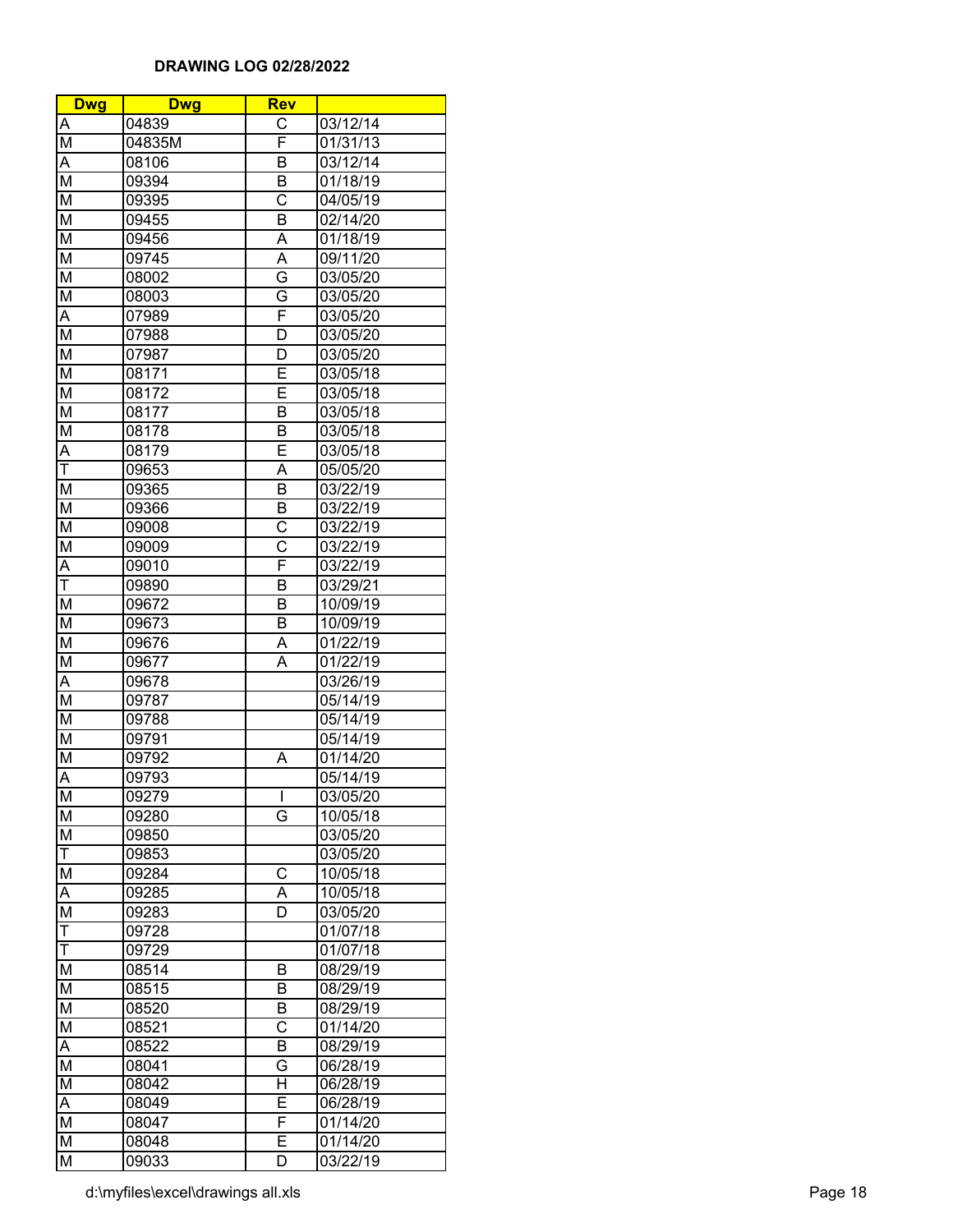| <b>Dwg</b>                          | <b>Dwg</b> | <b>Rev</b>              |                       |
|-------------------------------------|------------|-------------------------|-----------------------|
| A                                   | 04839      | $\overline{\text{C}}$   | 03/12/14              |
| M                                   | 04835M     | F                       | 01/31/13              |
| Α                                   | 08106      | B                       | 03/12/14              |
| M                                   | 09394      | B                       | 01/18/19              |
| M                                   | 09395      | $\overline{\text{c}}$   | 04/05/19              |
| M                                   | 09455      | B                       | 02/14/20              |
| M                                   | 09456      | Α                       | 01/18/19              |
| M                                   | 09745      | A                       | 09/11/20              |
| M                                   | 08002      | G                       | 03/05/20              |
| M                                   | 08003      | G                       | 03/05/20              |
| A                                   | 07989      | F                       | 03/05/20              |
| M                                   | 07988      | D                       | 03/05/20              |
| $\overline{\mathsf{M}}$             | 07987      | D                       | 03/05/20              |
| $\overline{\mathsf{M}}$             | 08171      | E                       | 03/05/18              |
| M                                   | 08172      | Ē                       | 03/05/18              |
| M                                   | 08177      | B                       | 03/05/18              |
| M                                   | 08178      | В                       | 03/05/18              |
|                                     | 08179      | Ē                       | 03/05/18              |
| $\frac{\overline{A}}{\overline{I}}$ |            | A                       |                       |
|                                     | 09653      |                         | 05/05/20              |
| M                                   | 09365      | B                       | 03/22/19              |
| M                                   | 09366      | B                       | 03/22/19              |
| M                                   | 09008      | $\overline{\text{C}}$   | 03/22/19              |
| M                                   | 09009      | $\overline{\text{C}}$   | 03/22/19              |
| A                                   | 09010      | F                       | 03/22/19              |
| $\overline{\mathsf{T}}$             | 09890      | B                       | 03/29/21              |
| M                                   | 09672      | $\overline{\mathsf{B}}$ | 10/09/19              |
| $\overline{\mathsf{M}}$             | 09673      | B                       | 10/09/19              |
| $\overline{\mathsf{M}}$             | 09676      | A                       | 01/22/19              |
| M                                   | 09677      | $\overline{\mathsf{A}}$ | 01/22/19              |
| Α                                   | 09678      |                         | 03/26/19              |
| M                                   | 09787      |                         | 05/14/19              |
| M                                   | 09788      |                         | 05/14/19              |
| M                                   | 09791      |                         | 05/14/19              |
| M                                   | 09792      | Α                       | 01/14/20              |
| Ā                                   | 09793      |                         | 05/14/19              |
| $\overline{\mathsf{M}}$             | 09279      | $\sf I$                 | 03/05/20              |
| М                                   | 09280      | G                       | 10/05/18              |
| M                                   | 09850      |                         | 03/05/20              |
| T                                   | 09853      |                         | 03/05/20              |
| M                                   | 09284      | С                       | 10/05/18              |
| Α                                   | 09285      | Α                       | 10/05/18              |
| M                                   | 09283      | D                       | 03/05/20              |
| Ŧ                                   | 09728      |                         | $\overline{0}1/07/18$ |
| Ŧ                                   | 09729      |                         | 01/07/18              |
| $\overline{\mathsf{M}}$             | 08514      | В                       | 08/29/19              |
| $\overline{\mathsf{M}}$             | 08515      | B                       | 08/29/19              |
| M                                   | 08520      | B                       | 08/29/19              |
| M                                   | 08521      | $\overline{\text{c}}$   | 01/14/20              |
| Α                                   | 08522      | B                       | 08/29/19              |
| M                                   | 08041      | G                       | 06/28/19              |
| $\overline{\mathsf{M}}$             | 08042      | Ħ                       | 06/28/19              |
| Α                                   | 08049      | E                       | 06/28/19              |
| $\overline{\mathsf{M}}$             | 08047      | F                       | 01/14/20              |
| $\overline{\mathsf{M}}$             | 08048      | Ē                       | 01/14/20              |
| $\overline{\mathsf{M}}$             | 09033      | D                       | 03/22/19              |
|                                     |            |                         |                       |